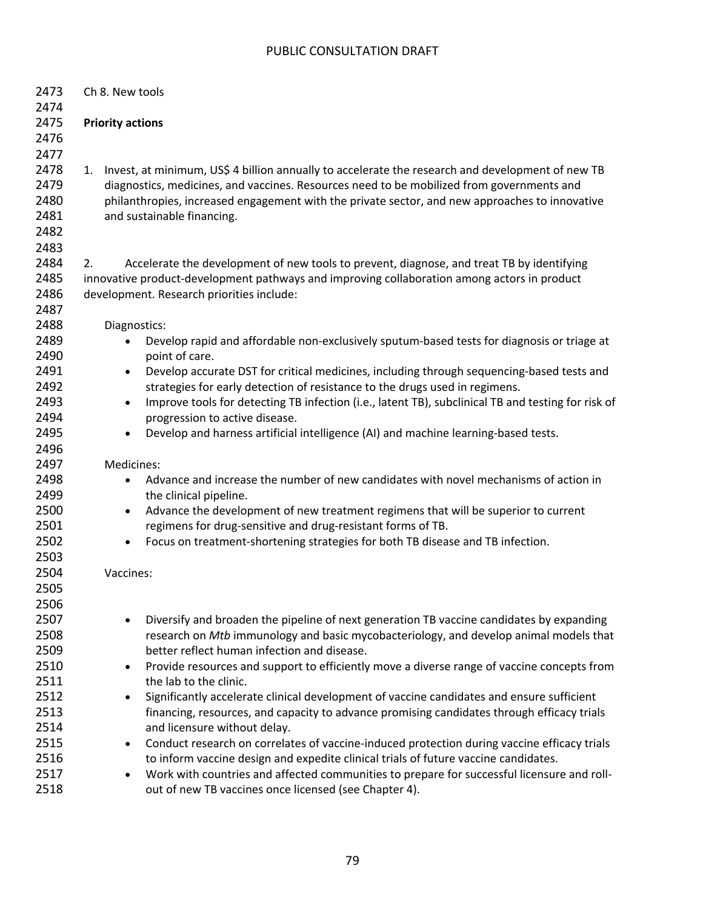| 2473<br>2474 | Ch 8. New tools                                                                                                 |  |  |  |  |  |
|--------------|-----------------------------------------------------------------------------------------------------------------|--|--|--|--|--|
| 2475         | <b>Priority actions</b>                                                                                         |  |  |  |  |  |
| 2476         |                                                                                                                 |  |  |  |  |  |
|              |                                                                                                                 |  |  |  |  |  |
| 2477         |                                                                                                                 |  |  |  |  |  |
| 2478         | Invest, at minimum, US\$ 4 billion annually to accelerate the research and development of new TB<br>1.          |  |  |  |  |  |
| 2479         | diagnostics, medicines, and vaccines. Resources need to be mobilized from governments and                       |  |  |  |  |  |
| 2480         | philanthropies, increased engagement with the private sector, and new approaches to innovative                  |  |  |  |  |  |
| 2481         | and sustainable financing.                                                                                      |  |  |  |  |  |
| 2482         |                                                                                                                 |  |  |  |  |  |
| 2483         |                                                                                                                 |  |  |  |  |  |
| 2484         | Accelerate the development of new tools to prevent, diagnose, and treat TB by identifying<br>2.                 |  |  |  |  |  |
| 2485         | innovative product-development pathways and improving collaboration among actors in product                     |  |  |  |  |  |
| 2486         | development. Research priorities include:                                                                       |  |  |  |  |  |
| 2487         |                                                                                                                 |  |  |  |  |  |
| 2488         | Diagnostics:                                                                                                    |  |  |  |  |  |
| 2489         | Develop rapid and affordable non-exclusively sputum-based tests for diagnosis or triage at<br>$\bullet$         |  |  |  |  |  |
| 2490         | point of care.                                                                                                  |  |  |  |  |  |
| 2491         | Develop accurate DST for critical medicines, including through sequencing-based tests and<br>$\bullet$          |  |  |  |  |  |
| 2492         | strategies for early detection of resistance to the drugs used in regimens.                                     |  |  |  |  |  |
| 2493         | Improve tools for detecting TB infection (i.e., latent TB), subclinical TB and testing for risk of<br>$\bullet$ |  |  |  |  |  |
| 2494         | progression to active disease.                                                                                  |  |  |  |  |  |
| 2495         | Develop and harness artificial intelligence (AI) and machine learning-based tests.<br>$\bullet$                 |  |  |  |  |  |
| 2496         |                                                                                                                 |  |  |  |  |  |
| 2497         | Medicines:                                                                                                      |  |  |  |  |  |
| 2498         | Advance and increase the number of new candidates with novel mechanisms of action in<br>$\bullet$               |  |  |  |  |  |
| 2499         | the clinical pipeline.                                                                                          |  |  |  |  |  |
| 2500         | Advance the development of new treatment regimens that will be superior to current<br>$\bullet$                 |  |  |  |  |  |
| 2501         | regimens for drug-sensitive and drug-resistant forms of TB.                                                     |  |  |  |  |  |
| 2502         | Focus on treatment-shortening strategies for both TB disease and TB infection.<br>$\bullet$                     |  |  |  |  |  |
| 2503         |                                                                                                                 |  |  |  |  |  |
| 2504         | Vaccines:                                                                                                       |  |  |  |  |  |
| 2505         |                                                                                                                 |  |  |  |  |  |
| 2506         |                                                                                                                 |  |  |  |  |  |
| 2507         | Diversify and broaden the pipeline of next generation TB vaccine candidates by expanding                        |  |  |  |  |  |
| 2508         | research on Mtb immunology and basic mycobacteriology, and develop animal models that                           |  |  |  |  |  |
| 2509         | better reflect human infection and disease.                                                                     |  |  |  |  |  |
| 2510         | Provide resources and support to efficiently move a diverse range of vaccine concepts from<br>٠                 |  |  |  |  |  |
| 2511         | the lab to the clinic.                                                                                          |  |  |  |  |  |
| 2512         | Significantly accelerate clinical development of vaccine candidates and ensure sufficient<br>$\bullet$          |  |  |  |  |  |
| 2513         | financing, resources, and capacity to advance promising candidates through efficacy trials                      |  |  |  |  |  |
| 2514         | and licensure without delay.                                                                                    |  |  |  |  |  |
| 2515         | Conduct research on correlates of vaccine-induced protection during vaccine efficacy trials<br>$\bullet$        |  |  |  |  |  |
| 2516         | to inform vaccine design and expedite clinical trials of future vaccine candidates.                             |  |  |  |  |  |
| 2517         | Work with countries and affected communities to prepare for successful licensure and roll-<br>$\bullet$         |  |  |  |  |  |
| 2518         | out of new TB vaccines once licensed (see Chapter 4).                                                           |  |  |  |  |  |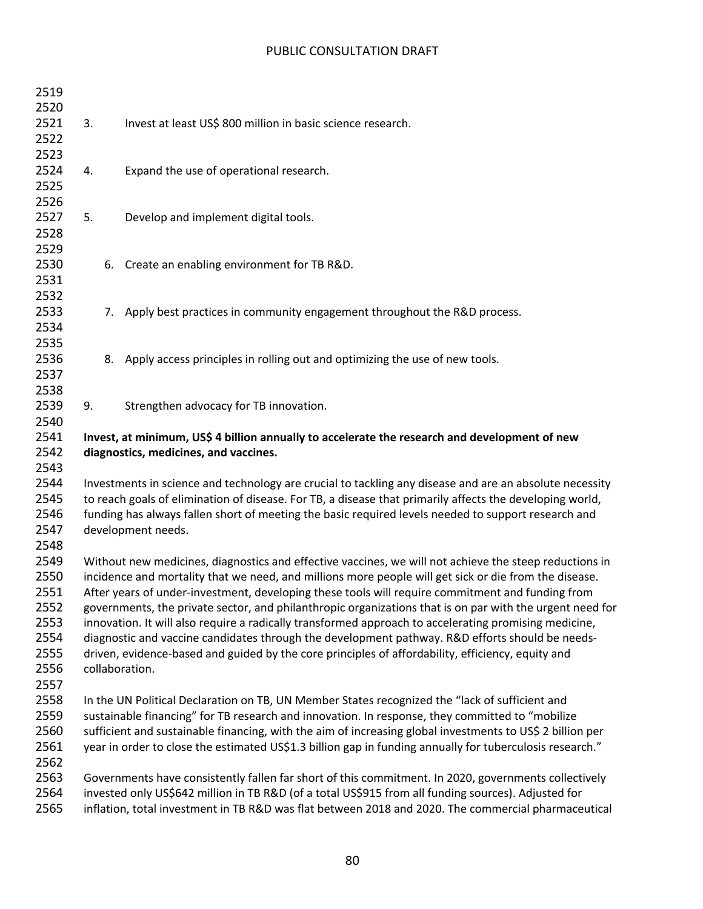| 2519 |    |                                                                                                           |
|------|----|-----------------------------------------------------------------------------------------------------------|
| 2520 |    |                                                                                                           |
| 2521 | 3. | Invest at least US\$ 800 million in basic science research.                                               |
| 2522 |    |                                                                                                           |
| 2523 |    |                                                                                                           |
| 2524 | 4. | Expand the use of operational research.                                                                   |
| 2525 |    |                                                                                                           |
| 2526 |    |                                                                                                           |
| 2527 | 5. | Develop and implement digital tools.                                                                      |
| 2528 |    |                                                                                                           |
| 2529 |    |                                                                                                           |
| 2530 |    | 6. Create an enabling environment for TB R&D.                                                             |
| 2531 |    |                                                                                                           |
| 2532 |    |                                                                                                           |
| 2533 |    | 7. Apply best practices in community engagement throughout the R&D process.                               |
| 2534 |    |                                                                                                           |
| 2535 |    |                                                                                                           |
| 2536 |    | 8. Apply access principles in rolling out and optimizing the use of new tools.                            |
| 2537 |    |                                                                                                           |
| 2538 |    |                                                                                                           |
| 2539 | 9. | Strengthen advocacy for TB innovation.                                                                    |
| 2540 |    |                                                                                                           |
| 2541 |    | Invest, at minimum, US\$ 4 billion annually to accelerate the research and development of new             |
| 2542 |    | diagnostics, medicines, and vaccines.                                                                     |
| 2543 |    |                                                                                                           |
| 2544 |    | Investments in science and technology are crucial to tackling any disease and are an absolute necessity   |
| 2545 |    | to reach goals of elimination of disease. For TB, a disease that primarily affects the developing world,  |
| 2546 |    | funding has always fallen short of meeting the basic required levels needed to support research and       |
| 2547 |    | development needs.                                                                                        |
| 2548 |    |                                                                                                           |
| 2549 |    | Without new medicines, diagnostics and effective vaccines, we will not achieve the steep reductions in    |
| 2550 |    | incidence and mortality that we need, and millions more people will get sick or die from the disease.     |
| 2551 |    | After years of under-investment, developing these tools will require commitment and funding from          |
| 2552 |    | governments, the private sector, and philanthropic organizations that is on par with the urgent need for  |
| 2553 |    | innovation. It will also require a radically transformed approach to accelerating promising medicine,     |
| 2554 |    | diagnostic and vaccine candidates through the development pathway. R&D efforts should be needs-           |
| 2555 |    | driven, evidence-based and guided by the core principles of affordability, efficiency, equity and         |
| 2556 |    | collaboration.                                                                                            |
| 2557 |    |                                                                                                           |
| 2558 |    | In the UN Political Declaration on TB, UN Member States recognized the "lack of sufficient and            |
| 2559 |    | sustainable financing" for TB research and innovation. In response, they committed to "mobilize           |
| 2560 |    | sufficient and sustainable financing, with the aim of increasing global investments to US\$ 2 billion per |
| 2561 |    | year in order to close the estimated US\$1.3 billion gap in funding annually for tuberculosis research."  |
| 2562 |    |                                                                                                           |
| 2563 |    | Governments have consistently fallen far short of this commitment. In 2020, governments collectively      |
| 2564 |    | invested only US\$642 million in TB R&D (of a total US\$915 from all funding sources). Adjusted for       |
| 2565 |    | inflation, total investment in TB R&D was flat between 2018 and 2020. The commercial pharmaceutical       |
|      |    |                                                                                                           |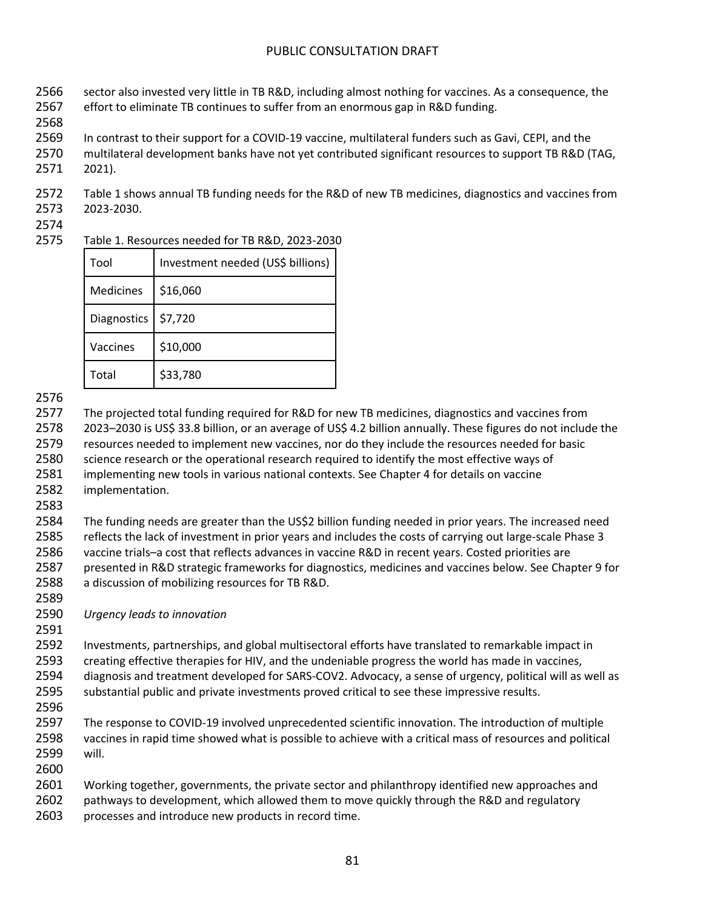- sector also invested very little in TB R&D, including almost nothing for vaccines. As a consequence, the
- effort to eliminate TB continues to suffer from an enormous gap in R&D funding.
- 
- In contrast to their support for a COVID-19 vaccine, multilateral funders such as Gavi, CEPI, and the
- multilateral development banks have not yet contributed significant resources to support TB R&D (TAG,
- 2021).

 Table 1 shows annual TB funding needs for the R&D of new TB medicines, diagnostics and vaccines from 2023-2030.

## Table 1. Resources needed for TB R&D, 2023-2030

| Tool               | Investment needed (US\$ billions) |
|--------------------|-----------------------------------|
| Medicines          | \$16,060                          |
| <b>Diagnostics</b> | \$7,720                           |
| Vaccines           | \$10,000                          |
| Total              | \$33,780                          |

 The projected total funding required for R&D for new TB medicines, diagnostics and vaccines from 2023–2030 is US\$ 33.8 billion, or an average of US\$ 4.2 billion annually. These figures do not include the resources needed to implement new vaccines, nor do they include the resources needed for basic science research or the operational research required to identify the most effective ways of implementing new tools in various national contexts. See Chapter 4 for details on vaccine implementation.

 The funding needs are greater than the US\$2 billion funding needed in prior years. The increased need reflects the lack of investment in prior years and includes the costs of carrying out large-scale Phase 3 vaccine trials–a cost that reflects advances in vaccine R&D in recent years. Costed priorities are presented in R&D strategic frameworks for diagnostics, medicines and vaccines below. See Chapter 9 for a discussion of mobilizing resources for TB R&D.

*Urgency leads to innovation*

 Investments, partnerships, and global multisectoral efforts have translated to remarkable impact in creating effective therapies for HIV, and the undeniable progress the world has made in vaccines, diagnosis and treatment developed for SARS-COV2. Advocacy, a sense of urgency, political will as well as substantial public and private investments proved critical to see these impressive results.

 The response to COVID-19 involved unprecedented scientific innovation. The introduction of multiple vaccines in rapid time showed what is possible to achieve with a critical mass of resources and political will. 

 Working together, governments, the private sector and philanthropy identified new approaches and 2602 pathways to development, which allowed them to move quickly through the R&D and regulatory processes and introduce new products in record time.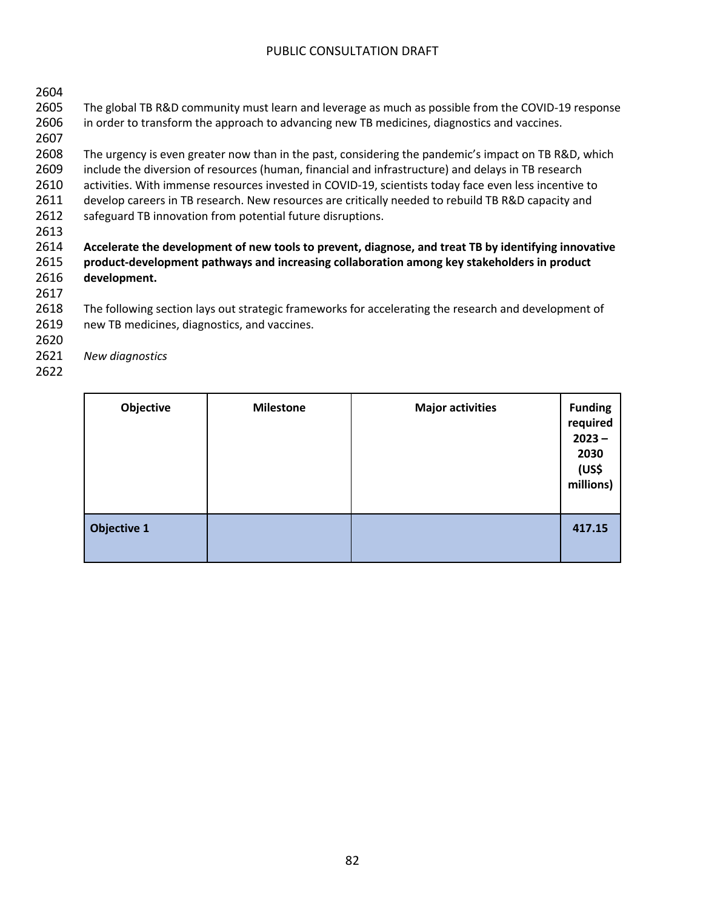| 2604 |                                                                                                       |
|------|-------------------------------------------------------------------------------------------------------|
| 2605 | The global TB R&D community must learn and leverage as much as possible from the COVID-19 response    |
| 2606 | in order to transform the approach to advancing new TB medicines, diagnostics and vaccines.           |
| 2607 |                                                                                                       |
| 2608 | The urgency is even greater now than in the past, considering the pandemic's impact on TB R&D, which  |
| 2609 | include the diversion of resources (human, financial and infrastructure) and delays in TB research    |
| 2610 | activities. With immense resources invested in COVID-19, scientists today face even less incentive to |
| 2611 | develop careers in TB research. New resources are critically needed to rebuild TB R&D capacity and    |
| 2612 | safeguard TB innovation from potential future disruptions.                                            |
| 2613 |                                                                                                       |
| 2614 | Accelerate the development of new tools to prevent, diagnose, and treat TB by identifying innovative  |
| 2615 | product-development pathways and increasing collaboration among key stakeholders in product           |
| 2616 | development.                                                                                          |
| 2617 |                                                                                                       |
| 2618 | The following section lays out strategic frameworks for accelerating the research and development of  |
| 2619 | new TB medicines, diagnostics, and vaccines.                                                          |
| 2620 |                                                                                                       |
| 2621 | New diagnostics                                                                                       |
| 2622 |                                                                                                       |
|      |                                                                                                       |

| Objective          | <b>Milestone</b> | <b>Major activities</b> | <b>Funding</b><br>required<br>$2023 -$<br>2030<br>(US\$<br>millions) |
|--------------------|------------------|-------------------------|----------------------------------------------------------------------|
| <b>Objective 1</b> |                  |                         | 417.15                                                               |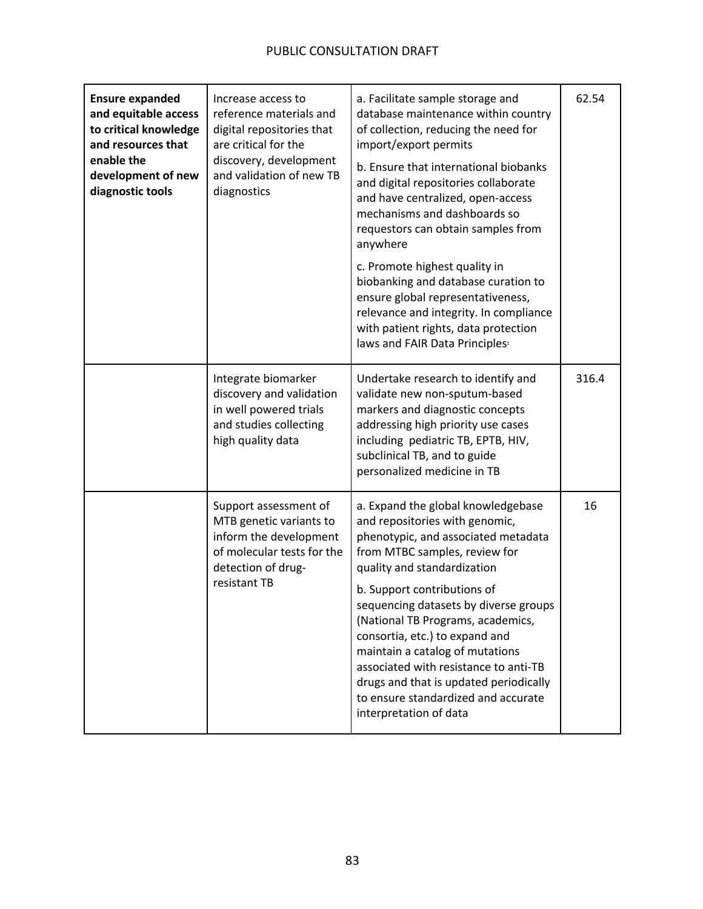| <b>Ensure expanded</b><br>and equitable access<br>to critical knowledge<br>and resources that<br>enable the<br>development of new<br>diagnostic tools | Increase access to<br>reference materials and<br>digital repositories that<br>are critical for the<br>discovery, development<br>and validation of new TB<br>diagnostics | a. Facilitate sample storage and<br>database maintenance within country<br>of collection, reducing the need for<br>import/export permits<br>b. Ensure that international biobanks<br>and digital repositories collaborate<br>and have centralized, open-access<br>mechanisms and dashboards so<br>requestors can obtain samples from<br>anywhere<br>c. Promote highest quality in<br>biobanking and database curation to<br>ensure global representativeness,<br>relevance and integrity. In compliance<br>with patient rights, data protection<br>laws and FAIR Data Principles <sup>1</sup> | 62.54 |
|-------------------------------------------------------------------------------------------------------------------------------------------------------|-------------------------------------------------------------------------------------------------------------------------------------------------------------------------|-----------------------------------------------------------------------------------------------------------------------------------------------------------------------------------------------------------------------------------------------------------------------------------------------------------------------------------------------------------------------------------------------------------------------------------------------------------------------------------------------------------------------------------------------------------------------------------------------|-------|
|                                                                                                                                                       | Integrate biomarker<br>discovery and validation<br>in well powered trials<br>and studies collecting<br>high quality data                                                | Undertake research to identify and<br>validate new non-sputum-based<br>markers and diagnostic concepts<br>addressing high priority use cases<br>including pediatric TB, EPTB, HIV,<br>subclinical TB, and to guide<br>personalized medicine in TB                                                                                                                                                                                                                                                                                                                                             | 316.4 |
|                                                                                                                                                       | Support assessment of<br>MTB genetic variants to<br>inform the development<br>of molecular tests for the<br>detection of drug-<br>resistant TB                          | a. Expand the global knowledgebase<br>and repositories with genomic,<br>phenotypic, and associated metadata<br>from MTBC samples, review for<br>quality and standardization<br>b. Support contributions of<br>sequencing datasets by diverse groups<br>(National TB Programs, academics,<br>consortia, etc.) to expand and<br>maintain a catalog of mutations<br>associated with resistance to anti-TB<br>drugs and that is updated periodically<br>to ensure standardized and accurate<br>interpretation of data                                                                             | 16    |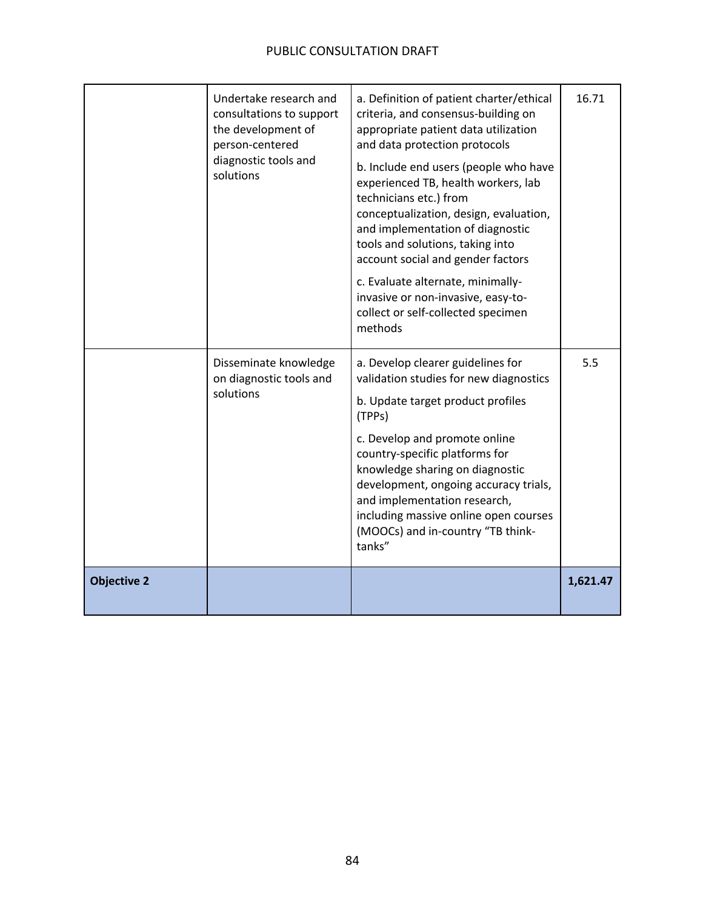|                    | Undertake research and<br>consultations to support<br>the development of<br>person-centered<br>diagnostic tools and<br>solutions | a. Definition of patient charter/ethical<br>criteria, and consensus-building on<br>appropriate patient data utilization<br>and data protection protocols<br>b. Include end users (people who have<br>experienced TB, health workers, lab<br>technicians etc.) from<br>conceptualization, design, evaluation,<br>and implementation of diagnostic<br>tools and solutions, taking into<br>account social and gender factors<br>c. Evaluate alternate, minimally-<br>invasive or non-invasive, easy-to-<br>collect or self-collected specimen<br>methods | 16.71    |
|--------------------|----------------------------------------------------------------------------------------------------------------------------------|-------------------------------------------------------------------------------------------------------------------------------------------------------------------------------------------------------------------------------------------------------------------------------------------------------------------------------------------------------------------------------------------------------------------------------------------------------------------------------------------------------------------------------------------------------|----------|
|                    | Disseminate knowledge<br>on diagnostic tools and<br>solutions                                                                    | a. Develop clearer guidelines for<br>validation studies for new diagnostics<br>b. Update target product profiles<br>(TPPs)<br>c. Develop and promote online<br>country-specific platforms for<br>knowledge sharing on diagnostic<br>development, ongoing accuracy trials,<br>and implementation research,<br>including massive online open courses<br>(MOOCs) and in-country "TB think-<br>tanks"                                                                                                                                                     | 5.5      |
| <b>Objective 2</b> |                                                                                                                                  |                                                                                                                                                                                                                                                                                                                                                                                                                                                                                                                                                       | 1,621.47 |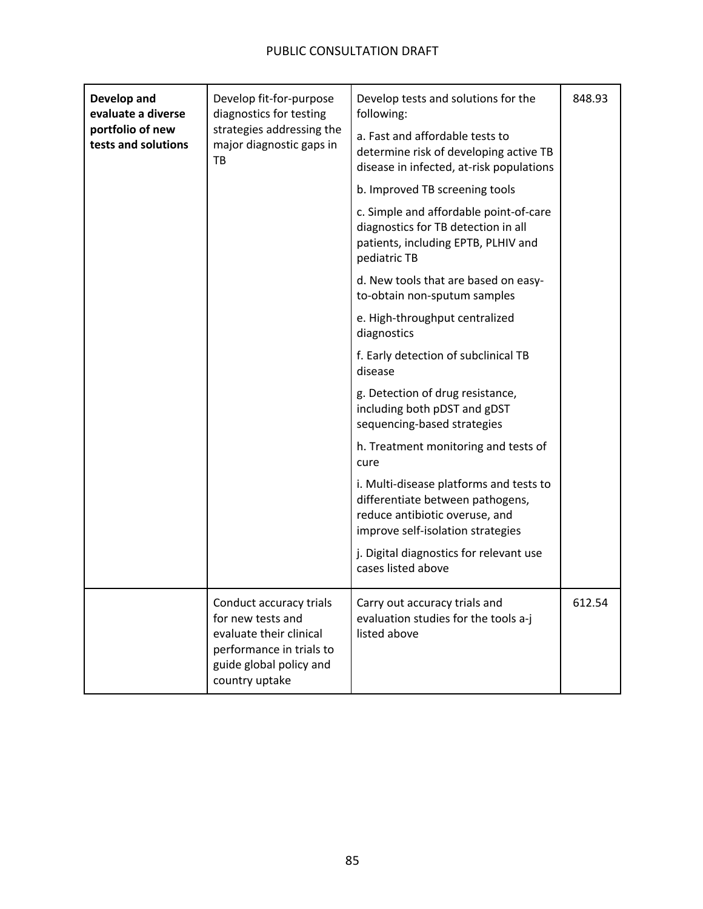| Develop and<br>evaluate a diverse       | Develop fit-for-purpose<br>diagnostics for testing<br>strategies addressing the<br>major diagnostic gaps in<br>TB                                | Develop tests and solutions for the<br>following:                                                                                                  | 848.93 |
|-----------------------------------------|--------------------------------------------------------------------------------------------------------------------------------------------------|----------------------------------------------------------------------------------------------------------------------------------------------------|--------|
| portfolio of new<br>tests and solutions |                                                                                                                                                  | a. Fast and affordable tests to<br>determine risk of developing active TB<br>disease in infected, at-risk populations                              |        |
|                                         |                                                                                                                                                  | b. Improved TB screening tools                                                                                                                     |        |
|                                         |                                                                                                                                                  | c. Simple and affordable point-of-care<br>diagnostics for TB detection in all<br>patients, including EPTB, PLHIV and<br>pediatric TB               |        |
|                                         |                                                                                                                                                  | d. New tools that are based on easy-<br>to-obtain non-sputum samples                                                                               |        |
|                                         |                                                                                                                                                  | e. High-throughput centralized<br>diagnostics                                                                                                      |        |
|                                         |                                                                                                                                                  | f. Early detection of subclinical TB<br>disease                                                                                                    |        |
|                                         |                                                                                                                                                  | g. Detection of drug resistance,<br>including both pDST and gDST<br>sequencing-based strategies                                                    |        |
|                                         |                                                                                                                                                  | h. Treatment monitoring and tests of<br>cure                                                                                                       |        |
|                                         |                                                                                                                                                  | i. Multi-disease platforms and tests to<br>differentiate between pathogens,<br>reduce antibiotic overuse, and<br>improve self-isolation strategies |        |
|                                         |                                                                                                                                                  | j. Digital diagnostics for relevant use<br>cases listed above                                                                                      |        |
|                                         | Conduct accuracy trials<br>for new tests and<br>evaluate their clinical<br>performance in trials to<br>guide global policy and<br>country uptake | Carry out accuracy trials and<br>evaluation studies for the tools a-j<br>listed above                                                              | 612.54 |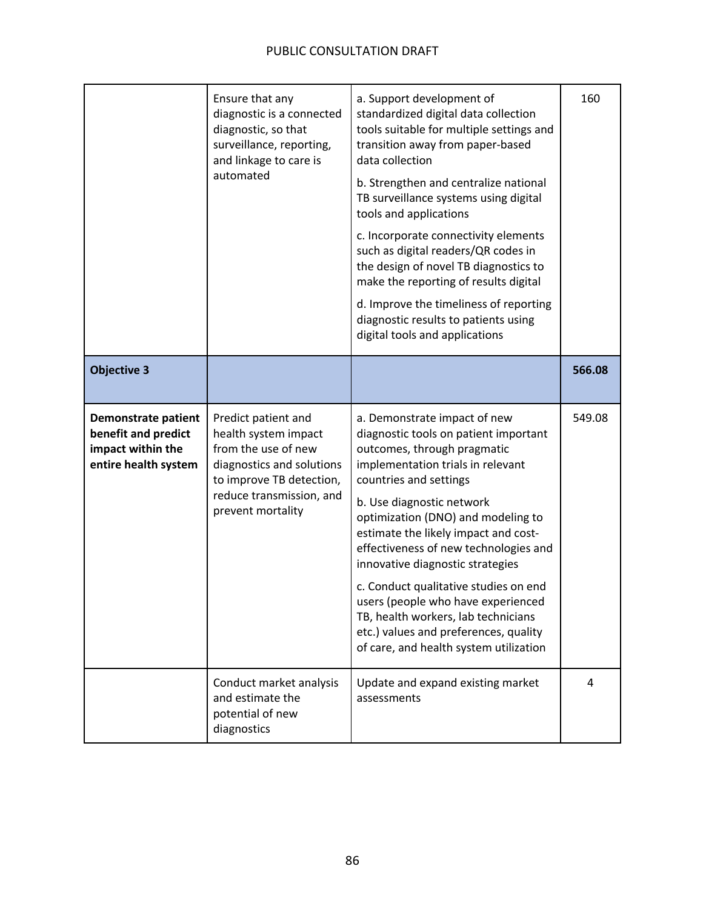|                                                                                                | Ensure that any<br>diagnostic is a connected<br>diagnostic, so that<br>surveillance, reporting,<br>and linkage to care is<br>automated                                       | a. Support development of<br>standardized digital data collection<br>tools suitable for multiple settings and<br>transition away from paper-based<br>data collection<br>b. Strengthen and centralize national<br>TB surveillance systems using digital<br>tools and applications<br>c. Incorporate connectivity elements<br>such as digital readers/QR codes in<br>the design of novel TB diagnostics to<br>make the reporting of results digital<br>d. Improve the timeliness of reporting<br>diagnostic results to patients using<br>digital tools and applications | 160    |
|------------------------------------------------------------------------------------------------|------------------------------------------------------------------------------------------------------------------------------------------------------------------------------|-----------------------------------------------------------------------------------------------------------------------------------------------------------------------------------------------------------------------------------------------------------------------------------------------------------------------------------------------------------------------------------------------------------------------------------------------------------------------------------------------------------------------------------------------------------------------|--------|
| <b>Objective 3</b>                                                                             |                                                                                                                                                                              |                                                                                                                                                                                                                                                                                                                                                                                                                                                                                                                                                                       | 566.08 |
| <b>Demonstrate patient</b><br>benefit and predict<br>impact within the<br>entire health system | Predict patient and<br>health system impact<br>from the use of new<br>diagnostics and solutions<br>to improve TB detection,<br>reduce transmission, and<br>prevent mortality | a. Demonstrate impact of new<br>diagnostic tools on patient important<br>outcomes, through pragmatic<br>implementation trials in relevant<br>countries and settings<br>b. Use diagnostic network<br>optimization (DNO) and modeling to<br>estimate the likely impact and cost-<br>effectiveness of new technologies and<br>innovative diagnostic strategies<br>c. Conduct qualitative studies on end<br>users (people who have experienced<br>TB, health workers, lab technicians<br>etc.) values and preferences, quality<br>of care, and health system utilization  | 549.08 |
|                                                                                                | Conduct market analysis<br>and estimate the<br>potential of new<br>diagnostics                                                                                               | Update and expand existing market<br>assessments                                                                                                                                                                                                                                                                                                                                                                                                                                                                                                                      | 4      |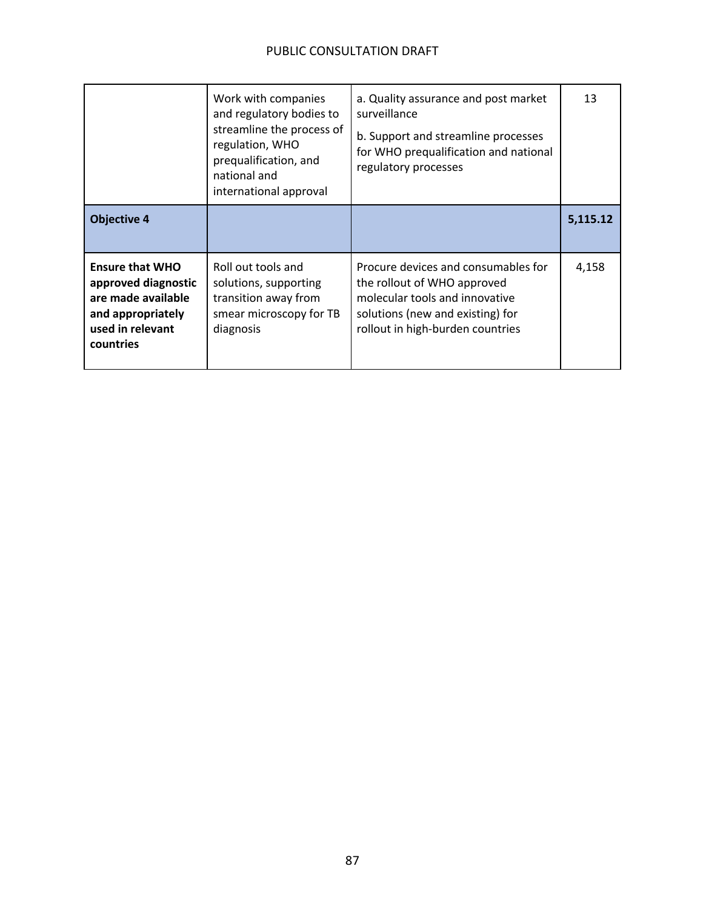|                                                                                                                           | Work with companies<br>and regulatory bodies to<br>streamline the process of<br>regulation, WHO<br>prequalification, and<br>national and<br>international approval | a. Quality assurance and post market<br>surveillance<br>b. Support and streamline processes<br>for WHO prequalification and national<br>regulatory processes                 | 13       |
|---------------------------------------------------------------------------------------------------------------------------|--------------------------------------------------------------------------------------------------------------------------------------------------------------------|------------------------------------------------------------------------------------------------------------------------------------------------------------------------------|----------|
| <b>Objective 4</b>                                                                                                        |                                                                                                                                                                    |                                                                                                                                                                              | 5,115.12 |
| <b>Ensure that WHO</b><br>approved diagnostic<br>are made available<br>and appropriately<br>used in relevant<br>countries | Roll out tools and<br>solutions, supporting<br>transition away from<br>smear microscopy for TB<br>diagnosis                                                        | Procure devices and consumables for<br>the rollout of WHO approved<br>molecular tools and innovative<br>solutions (new and existing) for<br>rollout in high-burden countries | 4,158    |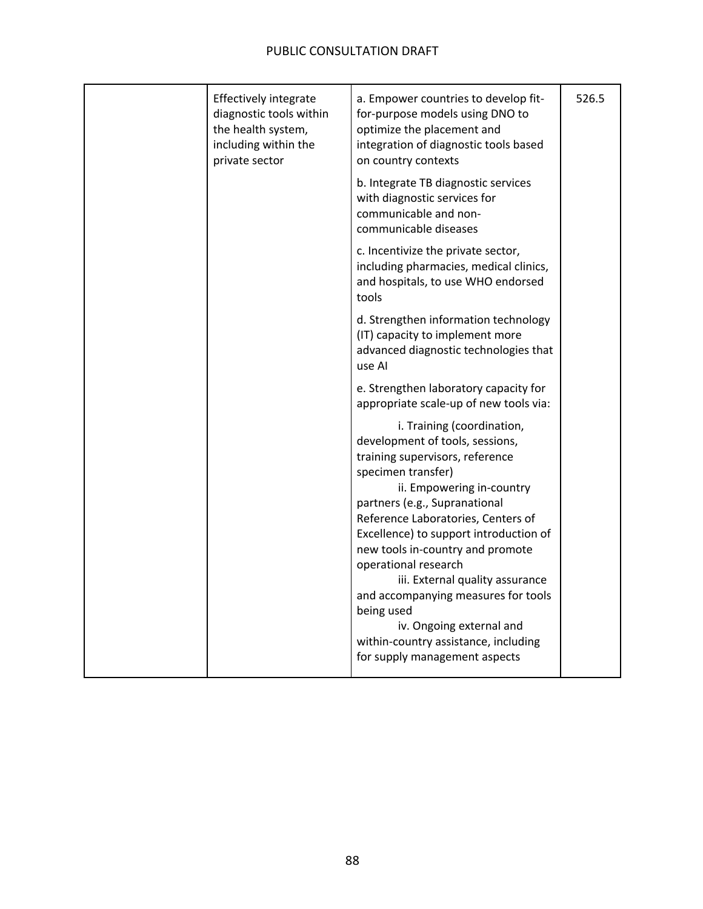| Effectively integrate<br>diagnostic tools within<br>the health system,<br>including within the<br>private sector | a. Empower countries to develop fit-<br>for-purpose models using DNO to<br>optimize the placement and<br>integration of diagnostic tools based<br>on country contexts                                                                                                                                                                                                                                                    | 526.5 |
|------------------------------------------------------------------------------------------------------------------|--------------------------------------------------------------------------------------------------------------------------------------------------------------------------------------------------------------------------------------------------------------------------------------------------------------------------------------------------------------------------------------------------------------------------|-------|
|                                                                                                                  | b. Integrate TB diagnostic services<br>with diagnostic services for<br>communicable and non-<br>communicable diseases                                                                                                                                                                                                                                                                                                    |       |
|                                                                                                                  | c. Incentivize the private sector,<br>including pharmacies, medical clinics,<br>and hospitals, to use WHO endorsed<br>tools                                                                                                                                                                                                                                                                                              |       |
|                                                                                                                  | d. Strengthen information technology<br>(IT) capacity to implement more<br>advanced diagnostic technologies that<br>use Al                                                                                                                                                                                                                                                                                               |       |
|                                                                                                                  | e. Strengthen laboratory capacity for<br>appropriate scale-up of new tools via:                                                                                                                                                                                                                                                                                                                                          |       |
|                                                                                                                  | i. Training (coordination,<br>development of tools, sessions,<br>training supervisors, reference<br>specimen transfer)<br>ii. Empowering in-country<br>partners (e.g., Supranational<br>Reference Laboratories, Centers of<br>Excellence) to support introduction of<br>new tools in-country and promote<br>operational research<br>iii. External quality assurance<br>and accompanying measures for tools<br>being used |       |
|                                                                                                                  | iv. Ongoing external and<br>within-country assistance, including<br>for supply management aspects                                                                                                                                                                                                                                                                                                                        |       |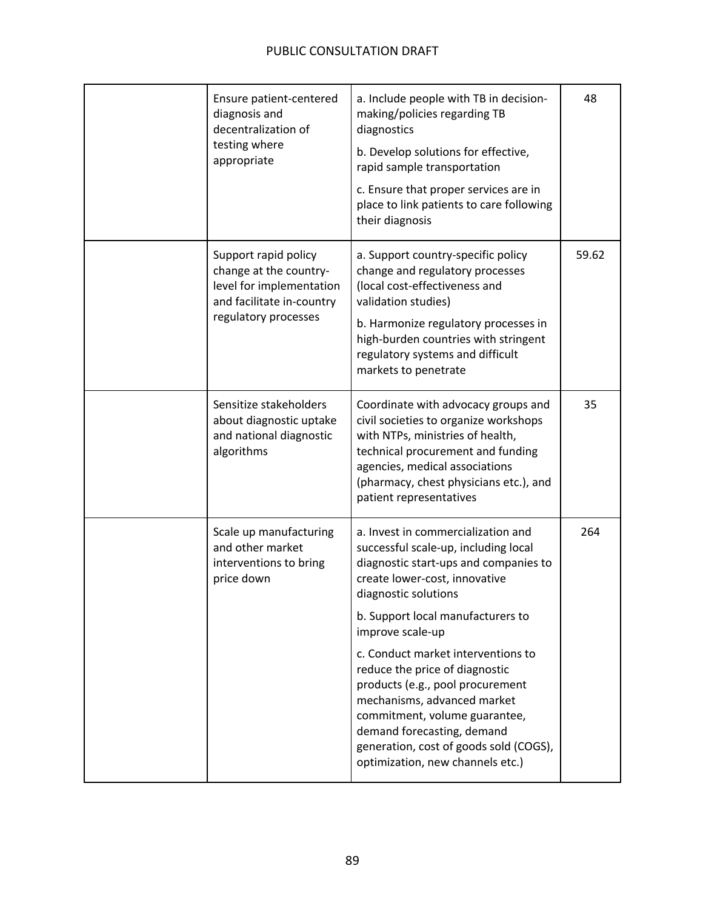| Ensure patient-centered<br>diagnosis and<br>decentralization of<br>testing where<br>appropriate                                 | a. Include people with TB in decision-<br>making/policies regarding TB<br>diagnostics<br>b. Develop solutions for effective,<br>rapid sample transportation<br>c. Ensure that proper services are in<br>place to link patients to care following<br>their diagnosis                  | 48    |
|---------------------------------------------------------------------------------------------------------------------------------|--------------------------------------------------------------------------------------------------------------------------------------------------------------------------------------------------------------------------------------------------------------------------------------|-------|
| Support rapid policy<br>change at the country-<br>level for implementation<br>and facilitate in-country<br>regulatory processes | a. Support country-specific policy<br>change and regulatory processes<br>(local cost-effectiveness and<br>validation studies)<br>b. Harmonize regulatory processes in<br>high-burden countries with stringent<br>regulatory systems and difficult<br>markets to penetrate            | 59.62 |
| Sensitize stakeholders<br>about diagnostic uptake<br>and national diagnostic<br>algorithms                                      | Coordinate with advocacy groups and<br>civil societies to organize workshops<br>with NTPs, ministries of health,<br>technical procurement and funding<br>agencies, medical associations<br>(pharmacy, chest physicians etc.), and<br>patient representatives                         | 35    |
| Scale up manufacturing<br>and other market<br>interventions to bring<br>price down                                              | a. Invest in commercialization and<br>successful scale-up, including local<br>diagnostic start-ups and companies to<br>create lower-cost, innovative<br>diagnostic solutions<br>b. Support local manufacturers to<br>improve scale-up                                                | 264   |
|                                                                                                                                 | c. Conduct market interventions to<br>reduce the price of diagnostic<br>products (e.g., pool procurement<br>mechanisms, advanced market<br>commitment, volume guarantee,<br>demand forecasting, demand<br>generation, cost of goods sold (COGS),<br>optimization, new channels etc.) |       |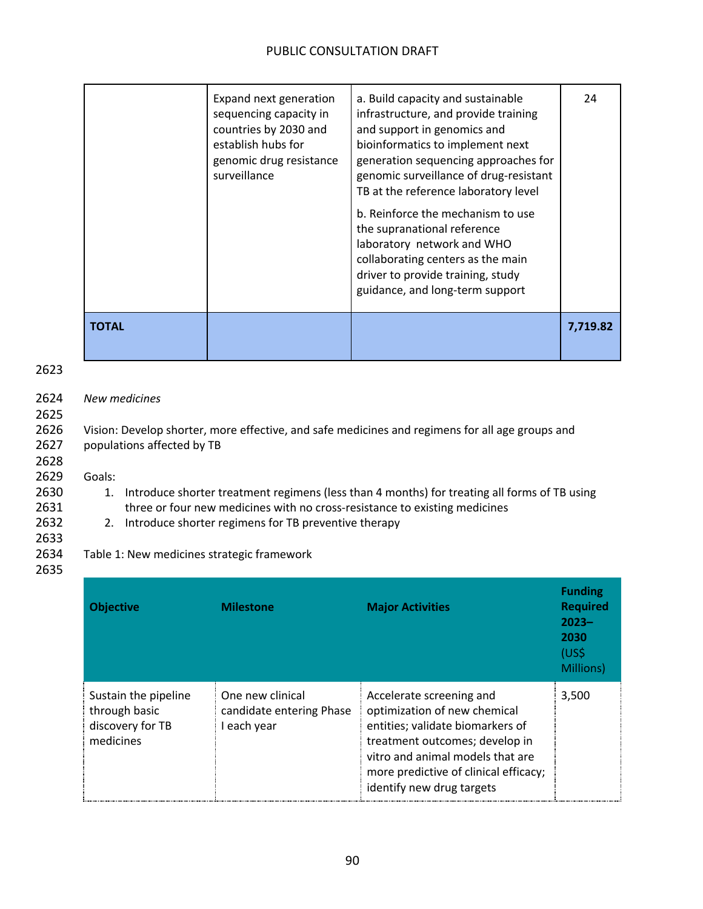|              | Expand next generation<br>sequencing capacity in<br>countries by 2030 and<br>establish hubs for<br>genomic drug resistance<br>surveillance | a. Build capacity and sustainable<br>infrastructure, and provide training<br>and support in genomics and<br>bioinformatics to implement next<br>generation sequencing approaches for<br>genomic surveillance of drug-resistant<br>TB at the reference laboratory level<br>b. Reinforce the mechanism to use<br>the supranational reference<br>laboratory network and WHO<br>collaborating centers as the main<br>driver to provide training, study<br>guidance, and long-term support | 24       |
|--------------|--------------------------------------------------------------------------------------------------------------------------------------------|---------------------------------------------------------------------------------------------------------------------------------------------------------------------------------------------------------------------------------------------------------------------------------------------------------------------------------------------------------------------------------------------------------------------------------------------------------------------------------------|----------|
| <b>TOTAL</b> |                                                                                                                                            |                                                                                                                                                                                                                                                                                                                                                                                                                                                                                       | 7,719.82 |

### 2623

### 2624 *New medicines*

2625

2628

2626 Vision: Develop shorter, more effective, and safe medicines and regimens for all age groups and 2627 populations affected by TB

2629 Goals:

- 2630 1. Introduce shorter treatment regimens (less than 4 months) for treating all forms of TB using
- 2631 three or four new medicines with no cross-resistance to existing medicines
- 2632 2. Introduce shorter regimens for TB preventive therapy

#### 2633 2634 Table 1: New medicines strategic framework 2635

**Objective Milestone Major Activities Funding Required 2023– 2030** (US\$ Millions) Sustain the pipeline through basic discovery for TB medicines One new clinical candidate entering Phase I each year Accelerate screening and optimization of new chemical entities; validate biomarkers of treatment outcomes; develop in vitro and animal models that are more predictive of clinical efficacy; identify new drug targets 3,500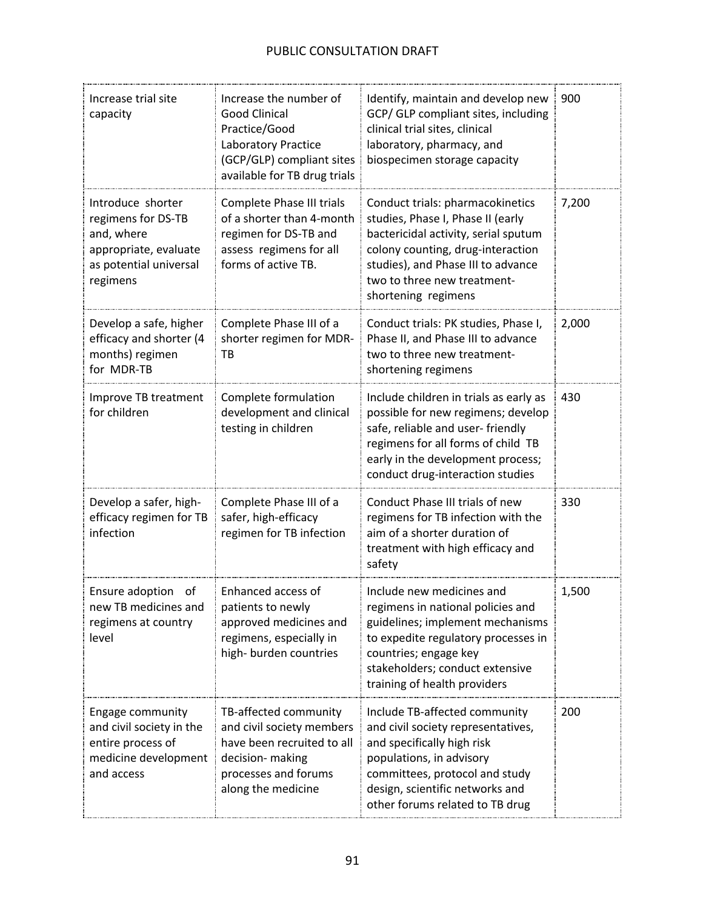| Increase trial site<br>capacity                                                                                      | Increase the number of<br><b>Good Clinical</b><br>Practice/Good<br>Laboratory Practice<br>(GCP/GLP) compliant sites<br>available for TB drug trials | Identify, maintain and develop new<br>GCP/ GLP compliant sites, including<br>clinical trial sites, clinical<br>laboratory, pharmacy, and<br>biospecimen storage capacity                                                                       | 900   |
|----------------------------------------------------------------------------------------------------------------------|-----------------------------------------------------------------------------------------------------------------------------------------------------|------------------------------------------------------------------------------------------------------------------------------------------------------------------------------------------------------------------------------------------------|-------|
| Introduce shorter<br>regimens for DS-TB<br>and, where<br>appropriate, evaluate<br>as potential universal<br>regimens | Complete Phase III trials<br>of a shorter than 4-month<br>regimen for DS-TB and<br>assess regimens for all<br>forms of active TB.                   | Conduct trials: pharmacokinetics<br>studies, Phase I, Phase II (early<br>bactericidal activity, serial sputum<br>colony counting, drug-interaction<br>studies), and Phase III to advance<br>two to three new treatment-<br>shortening regimens | 7,200 |
| Develop a safe, higher<br>efficacy and shorter (4<br>months) regimen<br>for MDR-TB                                   | Complete Phase III of a<br>shorter regimen for MDR-<br>ТB                                                                                           | Conduct trials: PK studies, Phase I,<br>Phase II, and Phase III to advance<br>two to three new treatment-<br>shortening regimens                                                                                                               | 2,000 |
| Improve TB treatment<br>for children                                                                                 | Complete formulation<br>development and clinical<br>testing in children                                                                             | Include children in trials as early as<br>possible for new regimens; develop<br>safe, reliable and user-friendly<br>regimens for all forms of child TB<br>early in the development process;<br>conduct drug-interaction studies                | 430   |
| Develop a safer, high-<br>efficacy regimen for TB<br>infection                                                       | Complete Phase III of a<br>safer, high-efficacy<br>regimen for TB infection                                                                         | Conduct Phase III trials of new<br>regimens for TB infection with the<br>aim of a shorter duration of<br>treatment with high efficacy and<br>safety                                                                                            | 330   |
| Ensure adoption<br>of<br>new TB medicines and<br>regimens at country<br>level                                        | Enhanced access of<br>patients to newly<br>approved medicines and<br>regimens, especially in<br>high- burden countries                              | Include new medicines and<br>regimens in national policies and<br>guidelines; implement mechanisms<br>to expedite regulatory processes in<br>countries; engage key<br>stakeholders; conduct extensive<br>training of health providers          | 1,500 |
| Engage community<br>and civil society in the<br>entire process of<br>medicine development<br>and access              | TB-affected community<br>and civil society members<br>have been recruited to all<br>decision- making<br>processes and forums<br>along the medicine  | Include TB-affected community<br>and civil society representatives,<br>and specifically high risk<br>populations, in advisory<br>committees, protocol and study<br>design, scientific networks and<br>other forums related to TB drug          | 200   |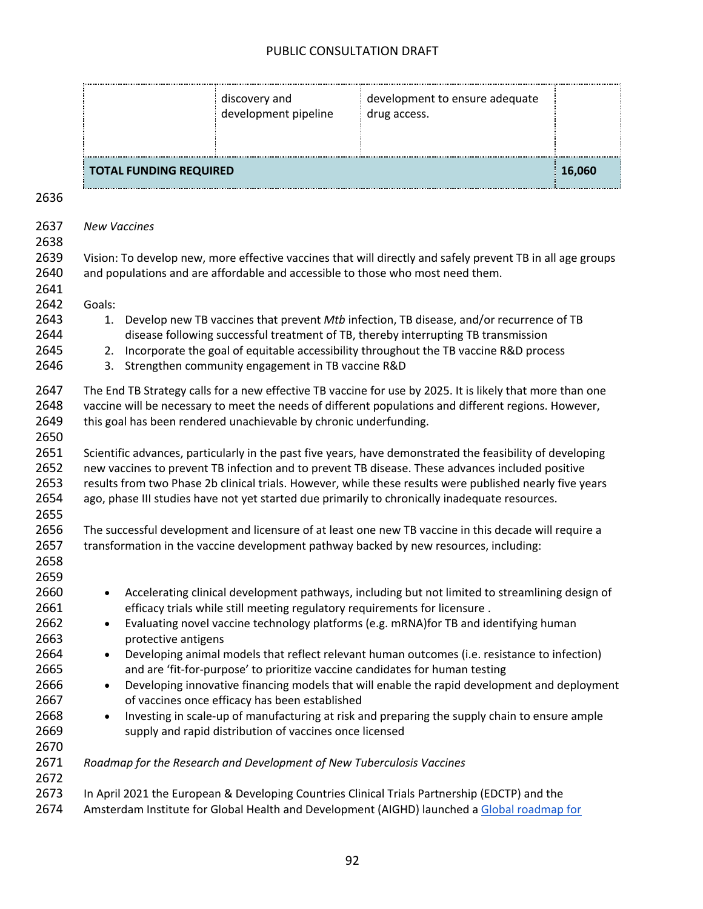| <b>TOTAL FUNDING REQUIRED</b> |                                       |                                                | 16,060 |
|-------------------------------|---------------------------------------|------------------------------------------------|--------|
|                               | discovery and<br>development pipeline | development to ensure adequate<br>drug access. |        |

| 2637<br>2638                         | <b>New Vaccines</b>                                                                                                                                                                                                                                                                                                                                                                                                         |
|--------------------------------------|-----------------------------------------------------------------------------------------------------------------------------------------------------------------------------------------------------------------------------------------------------------------------------------------------------------------------------------------------------------------------------------------------------------------------------|
| 2639<br>2640<br>2641                 | Vision: To develop new, more effective vaccines that will directly and safely prevent TB in all age groups<br>and populations and are affordable and accessible to those who most need them.                                                                                                                                                                                                                                |
| 2642                                 | Goals:                                                                                                                                                                                                                                                                                                                                                                                                                      |
| 2643<br>2644<br>2645                 | Develop new TB vaccines that prevent Mtb infection, TB disease, and/or recurrence of TB<br>1.<br>disease following successful treatment of TB, thereby interrupting TB transmission<br>2. Incorporate the goal of equitable accessibility throughout the TB vaccine R&D process                                                                                                                                             |
| 2646                                 | 3. Strengthen community engagement in TB vaccine R&D                                                                                                                                                                                                                                                                                                                                                                        |
| 2647<br>2648<br>2649<br>2650         | The End TB Strategy calls for a new effective TB vaccine for use by 2025. It is likely that more than one<br>vaccine will be necessary to meet the needs of different populations and different regions. However,<br>this goal has been rendered unachievable by chronic underfunding.                                                                                                                                      |
| 2651<br>2652<br>2653<br>2654<br>2655 | Scientific advances, particularly in the past five years, have demonstrated the feasibility of developing<br>new vaccines to prevent TB infection and to prevent TB disease. These advances included positive<br>results from two Phase 2b clinical trials. However, while these results were published nearly five years<br>ago, phase III studies have not yet started due primarily to chronically inadequate resources. |
| 2656<br>2657<br>2658<br>2659         | The successful development and licensure of at least one new TB vaccine in this decade will require a<br>transformation in the vaccine development pathway backed by new resources, including:                                                                                                                                                                                                                              |
| 2660<br>2661<br>2662                 | Accelerating clinical development pathways, including but not limited to streamlining design of<br>$\bullet$<br>efficacy trials while still meeting regulatory requirements for licensure.<br>Evaluating novel vaccine technology platforms (e.g. mRNA) for TB and identifying human<br>$\bullet$                                                                                                                           |
| 2663                                 | protective antigens                                                                                                                                                                                                                                                                                                                                                                                                         |
| 2664<br>2665                         | Developing animal models that reflect relevant human outcomes (i.e. resistance to infection)<br>$\bullet$<br>and are 'fit-for-purpose' to prioritize vaccine candidates for human testing                                                                                                                                                                                                                                   |
| 2666<br>2667                         | Developing innovative financing models that will enable the rapid development and deployment<br>$\bullet$<br>of vaccines once efficacy has been established                                                                                                                                                                                                                                                                 |
| 2668<br>2669<br>2670                 | Investing in scale-up of manufacturing at risk and preparing the supply chain to ensure ample<br>$\bullet$<br>supply and rapid distribution of vaccines once licensed                                                                                                                                                                                                                                                       |
| 2671<br>2672                         | Roadmap for the Research and Development of New Tuberculosis Vaccines                                                                                                                                                                                                                                                                                                                                                       |
| 2673                                 | In April 2021 the European & Developing Countries Clinical Trials Partnership (EDCTP) and the                                                                                                                                                                                                                                                                                                                               |
| 2674                                 | Amsterdam Institute for Global Health and Development (AIGHD) launched a Global roadmap for                                                                                                                                                                                                                                                                                                                                 |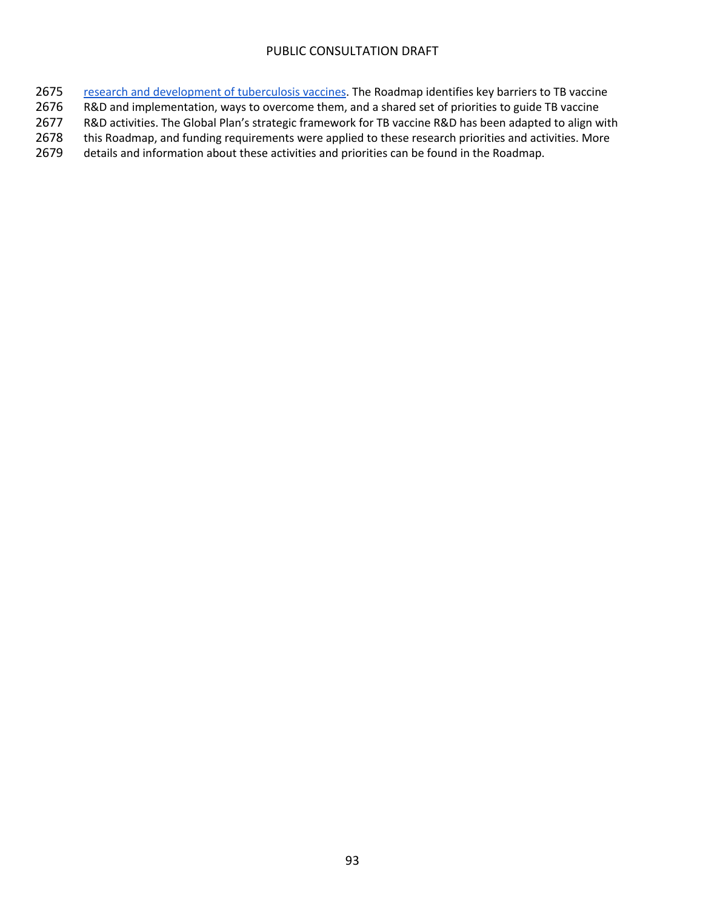- 2675 research and development of tuberculosis vaccines. The Roadmap identifies key barriers to TB vaccine
- 2676 R&D and implementation, ways to overcome them, and a shared set of priorities to guide TB vaccine
- 2677 R&D activities. The Global Plan's strategic framework for TB vaccine R&D has been adapted to align with
- 2678 this Roadmap, and funding requirements were applied to these research priorities and activities. More
- 2679 details and information about these activities and priorities can be found in the Roadmap.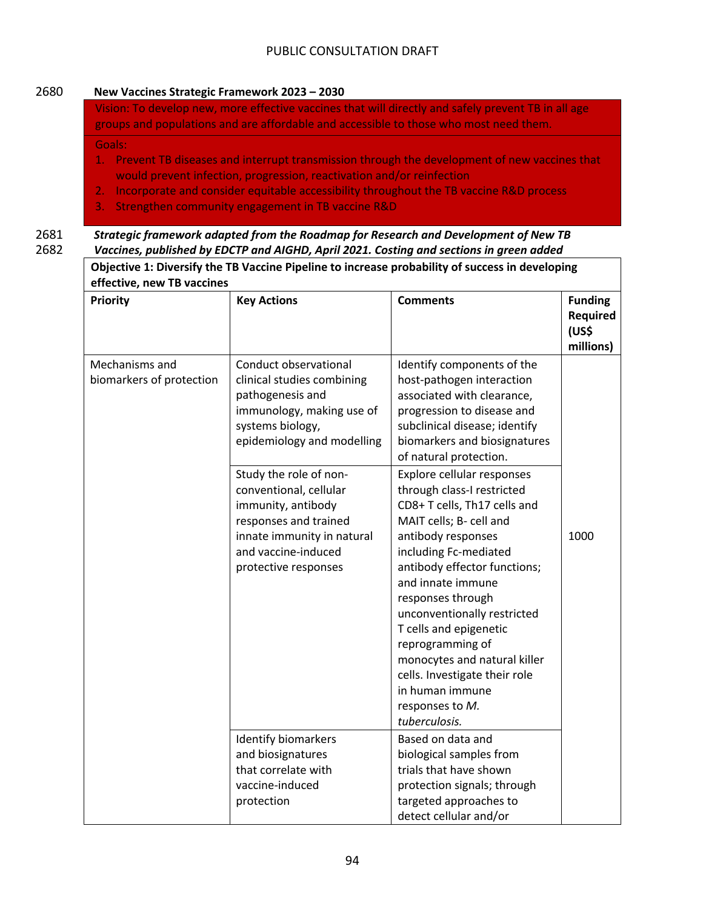### 2680 **New Vaccines Strategic Framework 2023 – 2030**

Vision: To develop new, more effective vaccines that will directly and safely prevent TB in all age groups and populations and are affordable and accessible to those who most need them.

Goals:

- 1. Prevent TB diseases and interrupt transmission through the development of new vaccines that would prevent infection, progression, reactivation and/or reinfection
- 2. Incorporate and consider equitable accessibility throughout the TB vaccine R&D process
- 3. Strengthen community engagement in TB vaccine R&D

2681 *Strategic framework adapted from the Roadmap for Research and Development of New TB*  2682 *Vaccines, published by EDCTP and AIGHD, April 2021. Costing and sections in green added*

| Priority                                   | <b>Key Actions</b>                                                                                                                                                           | <b>Comments</b>                                                                                                                                                                                                                                                                                                                                                                                                                                   | <b>Funding</b><br>Required<br>(US\$<br>millions) |
|--------------------------------------------|------------------------------------------------------------------------------------------------------------------------------------------------------------------------------|---------------------------------------------------------------------------------------------------------------------------------------------------------------------------------------------------------------------------------------------------------------------------------------------------------------------------------------------------------------------------------------------------------------------------------------------------|--------------------------------------------------|
| Mechanisms and<br>biomarkers of protection | Conduct observational<br>clinical studies combining<br>pathogenesis and<br>immunology, making use of<br>systems biology,<br>epidemiology and modelling                       | Identify components of the<br>host-pathogen interaction<br>associated with clearance,<br>progression to disease and<br>subclinical disease; identify<br>biomarkers and biosignatures<br>of natural protection.                                                                                                                                                                                                                                    |                                                  |
|                                            | Study the role of non-<br>conventional, cellular<br>immunity, antibody<br>responses and trained<br>innate immunity in natural<br>and vaccine-induced<br>protective responses | Explore cellular responses<br>through class-I restricted<br>CD8+ T cells, Th17 cells and<br>MAIT cells; B- cell and<br>antibody responses<br>including Fc-mediated<br>antibody effector functions;<br>and innate immune<br>responses through<br>unconventionally restricted<br>T cells and epigenetic<br>reprogramming of<br>monocytes and natural killer<br>cells. Investigate their role<br>in human immune<br>responses to M.<br>tuberculosis. | 1000                                             |
|                                            | Identify biomarkers<br>and biosignatures<br>that correlate with<br>vaccine-induced<br>protection                                                                             | Based on data and<br>biological samples from<br>trials that have shown<br>protection signals; through<br>targeted approaches to                                                                                                                                                                                                                                                                                                                   |                                                  |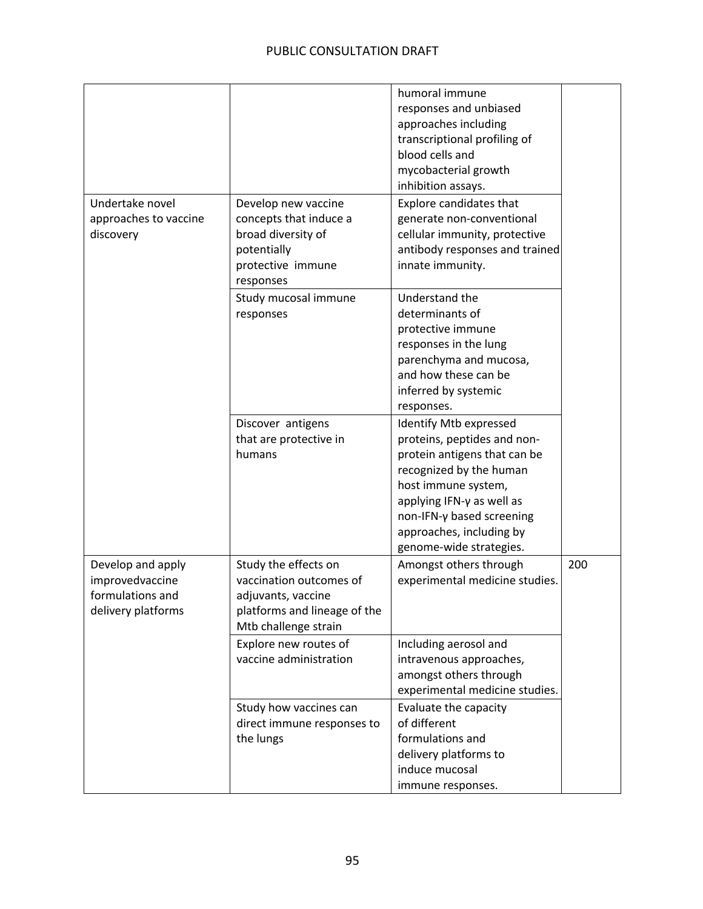| Undertake novel                                                                | Develop new vaccine                                                                                                           | humoral immune<br>responses and unbiased<br>approaches including<br>transcriptional profiling of<br>blood cells and<br>mycobacterial growth<br>inhibition assays.<br>Explore candidates that                                                             |     |
|--------------------------------------------------------------------------------|-------------------------------------------------------------------------------------------------------------------------------|----------------------------------------------------------------------------------------------------------------------------------------------------------------------------------------------------------------------------------------------------------|-----|
| approaches to vaccine<br>discovery                                             | concepts that induce a<br>broad diversity of<br>potentially<br>protective immune<br>responses                                 | generate non-conventional<br>cellular immunity, protective<br>antibody responses and trained<br>innate immunity.                                                                                                                                         |     |
|                                                                                | Study mucosal immune<br>responses                                                                                             | Understand the<br>determinants of<br>protective immune<br>responses in the lung<br>parenchyma and mucosa,<br>and how these can be<br>inferred by systemic<br>responses.                                                                                  |     |
|                                                                                | Discover antigens<br>that are protective in<br>humans                                                                         | Identify Mtb expressed<br>proteins, peptides and non-<br>protein antigens that can be<br>recognized by the human<br>host immune system,<br>applying IFN-y as well as<br>non-IFN-γ based screening<br>approaches, including by<br>genome-wide strategies. |     |
| Develop and apply<br>improvedvaccine<br>formulations and<br>delivery platforms | Study the effects on<br>vaccination outcomes of<br>adjuvants, vaccine<br>platforms and lineage of the<br>Mtb challenge strain | Amongst others through<br>experimental medicine studies.                                                                                                                                                                                                 | 200 |
|                                                                                | Explore new routes of<br>vaccine administration                                                                               | Including aerosol and<br>intravenous approaches,<br>amongst others through<br>experimental medicine studies.                                                                                                                                             |     |
|                                                                                | Study how vaccines can<br>direct immune responses to<br>the lungs                                                             | Evaluate the capacity<br>of different<br>formulations and<br>delivery platforms to<br>induce mucosal<br>immune responses.                                                                                                                                |     |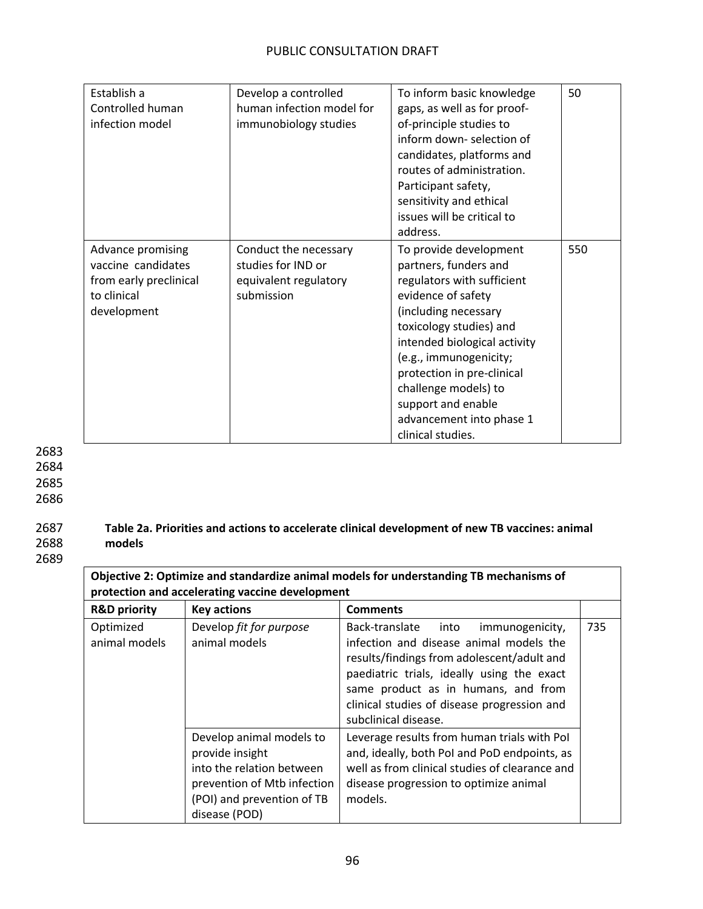| Establish a<br>Controlled human<br>infection model                                              | Develop a controlled<br>human infection model for<br>immunobiology studies         | To inform basic knowledge<br>gaps, as well as for proof-<br>of-principle studies to<br>inform down-selection of<br>candidates, platforms and<br>routes of administration.<br>Participant safety,<br>sensitivity and ethical<br>issues will be critical to<br>address.                                                                         | 50  |
|-------------------------------------------------------------------------------------------------|------------------------------------------------------------------------------------|-----------------------------------------------------------------------------------------------------------------------------------------------------------------------------------------------------------------------------------------------------------------------------------------------------------------------------------------------|-----|
| Advance promising<br>vaccine candidates<br>from early preclinical<br>to clinical<br>development | Conduct the necessary<br>studies for IND or<br>equivalent regulatory<br>submission | To provide development<br>partners, funders and<br>regulators with sufficient<br>evidence of safety<br>(including necessary<br>toxicology studies) and<br>intended biological activity<br>(e.g., immunogenicity;<br>protection in pre-clinical<br>challenge models) to<br>support and enable<br>advancement into phase 1<br>clinical studies. | 550 |

2685

2686

### 2687 **Table 2a. Priorities and actions to accelerate clinical development of new TB vaccines: animal**  2688 **models**

2689

| Objective 2: Optimize and standardize animal models for understanding TB mechanisms of<br>protection and accelerating vaccine development |                                                                                                                                       |                                                                                                                                                                                                                                                                                             |     |
|-------------------------------------------------------------------------------------------------------------------------------------------|---------------------------------------------------------------------------------------------------------------------------------------|---------------------------------------------------------------------------------------------------------------------------------------------------------------------------------------------------------------------------------------------------------------------------------------------|-----|
| <b>R&amp;D priority</b>                                                                                                                   | <b>Key actions</b>                                                                                                                    | <b>Comments</b>                                                                                                                                                                                                                                                                             |     |
| Optimized<br>animal models                                                                                                                | Develop fit for purpose<br>animal models                                                                                              | Back-translate into<br>immunogenicity,<br>infection and disease animal models the<br>results/findings from adolescent/adult and<br>paediatric trials, ideally using the exact<br>same product as in humans, and from<br>clinical studies of disease progression and<br>subclinical disease. | 735 |
|                                                                                                                                           | Develop animal models to<br>provide insight<br>into the relation between<br>prevention of Mtb infection<br>(POI) and prevention of TB | Leverage results from human trials with Pol<br>and, ideally, both PoI and PoD endpoints, as<br>well as from clinical studies of clearance and<br>disease progression to optimize animal<br>models.                                                                                          |     |

disease (POD)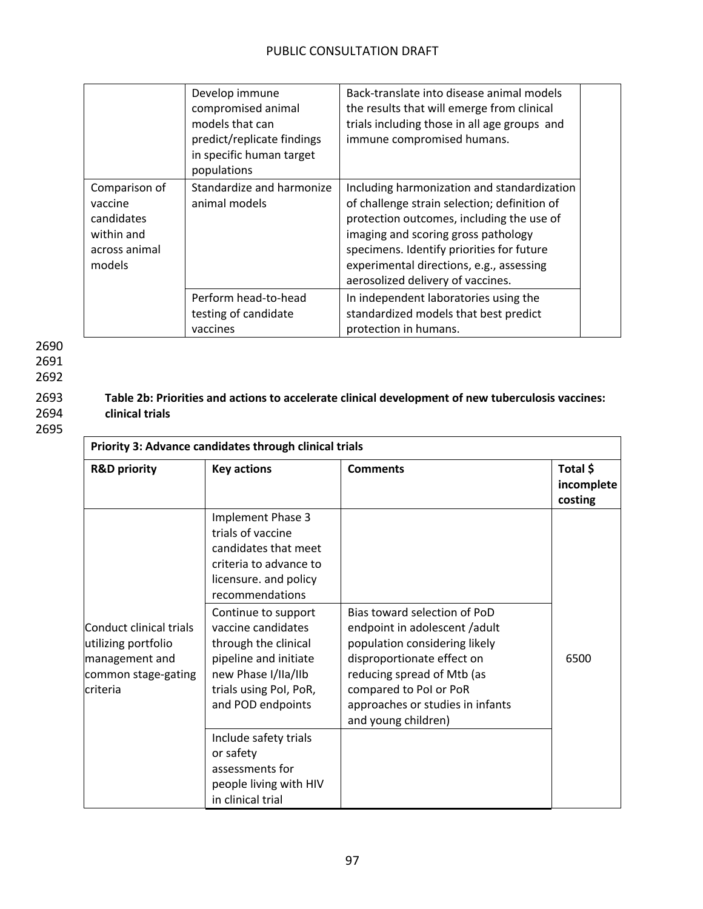|                                                                                 | Develop immune<br>compromised animal<br>models that can<br>predict/replicate findings<br>in specific human target<br>populations | Back-translate into disease animal models<br>the results that will emerge from clinical<br>trials including those in all age groups and<br>immune compromised humans.                                                                                                                                         |  |
|---------------------------------------------------------------------------------|----------------------------------------------------------------------------------------------------------------------------------|---------------------------------------------------------------------------------------------------------------------------------------------------------------------------------------------------------------------------------------------------------------------------------------------------------------|--|
| Comparison of<br>vaccine<br>candidates<br>within and<br>across animal<br>models | Standardize and harmonize<br>animal models                                                                                       | Including harmonization and standardization<br>of challenge strain selection; definition of<br>protection outcomes, including the use of<br>imaging and scoring gross pathology<br>specimens. Identify priorities for future<br>experimental directions, e.g., assessing<br>aerosolized delivery of vaccines. |  |
|                                                                                 | Perform head-to-head<br>testing of candidate<br>vaccines                                                                         | In independent laboratories using the<br>standardized models that best predict<br>protection in humans.                                                                                                                                                                                                       |  |

2691

2692

## 2693 **Table 2b: Priorities and actions to accelerate clinical development of new tuberculosis vaccines:**  2694 **clinical trials**

| Priority 3: Advance candidates through clinical trials                                              |                                                                                                                                                                  |                                                                                                                                                                                                                                                 |                                   |
|-----------------------------------------------------------------------------------------------------|------------------------------------------------------------------------------------------------------------------------------------------------------------------|-------------------------------------------------------------------------------------------------------------------------------------------------------------------------------------------------------------------------------------------------|-----------------------------------|
| <b>R&amp;D priority</b>                                                                             | <b>Key actions</b>                                                                                                                                               | <b>Comments</b>                                                                                                                                                                                                                                 | Total \$<br>incomplete<br>costing |
| Conduct clinical trials<br>utilizing portfolio<br>management and<br>common stage-gating<br>criteria | Implement Phase 3<br>trials of vaccine<br>candidates that meet<br>criteria to advance to<br>licensure. and policy<br>recommendations                             |                                                                                                                                                                                                                                                 |                                   |
|                                                                                                     | Continue to support<br>vaccine candidates<br>through the clinical<br>pipeline and initiate<br>new Phase I/IIa/IIb<br>trials using Pol, PoR,<br>and POD endpoints | Bias toward selection of PoD<br>endpoint in adolescent /adult<br>population considering likely<br>disproportionate effect on<br>reducing spread of Mtb (as<br>compared to Pol or PoR<br>approaches or studies in infants<br>and young children) | 6500                              |
|                                                                                                     | Include safety trials<br>or safety<br>assessments for<br>people living with HIV<br>in clinical trial                                                             |                                                                                                                                                                                                                                                 |                                   |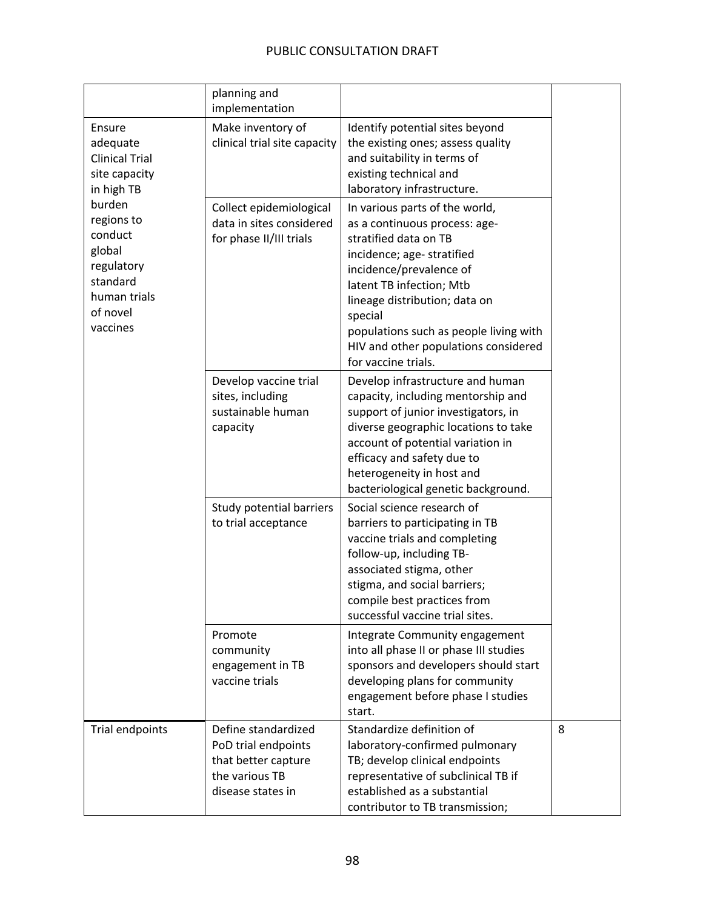|                                                                                                                                                                                           | planning and<br>implementation                                                                           |                                                                                                                                                                                                                                                                                                                                    |   |
|-------------------------------------------------------------------------------------------------------------------------------------------------------------------------------------------|----------------------------------------------------------------------------------------------------------|------------------------------------------------------------------------------------------------------------------------------------------------------------------------------------------------------------------------------------------------------------------------------------------------------------------------------------|---|
| Ensure<br>adequate<br><b>Clinical Trial</b><br>site capacity<br>in high TB<br>burden<br>regions to<br>conduct<br>global<br>regulatory<br>standard<br>human trials<br>of novel<br>vaccines | Make inventory of<br>clinical trial site capacity                                                        | Identify potential sites beyond<br>the existing ones; assess quality<br>and suitability in terms of<br>existing technical and<br>laboratory infrastructure.                                                                                                                                                                        |   |
|                                                                                                                                                                                           | Collect epidemiological<br>data in sites considered<br>for phase II/III trials                           | In various parts of the world,<br>as a continuous process: age-<br>stratified data on TB<br>incidence; age- stratified<br>incidence/prevalence of<br>latent TB infection; Mtb<br>lineage distribution; data on<br>special<br>populations such as people living with<br>HIV and other populations considered<br>for vaccine trials. |   |
|                                                                                                                                                                                           | Develop vaccine trial<br>sites, including<br>sustainable human<br>capacity                               | Develop infrastructure and human<br>capacity, including mentorship and<br>support of junior investigators, in<br>diverse geographic locations to take<br>account of potential variation in<br>efficacy and safety due to<br>heterogeneity in host and<br>bacteriological genetic background.                                       |   |
|                                                                                                                                                                                           | Study potential barriers<br>to trial acceptance                                                          | Social science research of<br>barriers to participating in TB<br>vaccine trials and completing<br>follow-up, including TB-<br>associated stigma, other<br>stigma, and social barriers;<br>compile best practices from<br>successful vaccine trial sites.                                                                           |   |
|                                                                                                                                                                                           | Promote<br>community<br>engagement in TB<br>vaccine trials                                               | Integrate Community engagement<br>into all phase II or phase III studies<br>sponsors and developers should start<br>developing plans for community<br>engagement before phase I studies<br>start.                                                                                                                                  |   |
| Trial endpoints                                                                                                                                                                           | Define standardized<br>PoD trial endpoints<br>that better capture<br>the various TB<br>disease states in | Standardize definition of<br>laboratory-confirmed pulmonary<br>TB; develop clinical endpoints<br>representative of subclinical TB if<br>established as a substantial<br>contributor to TB transmission;                                                                                                                            | 8 |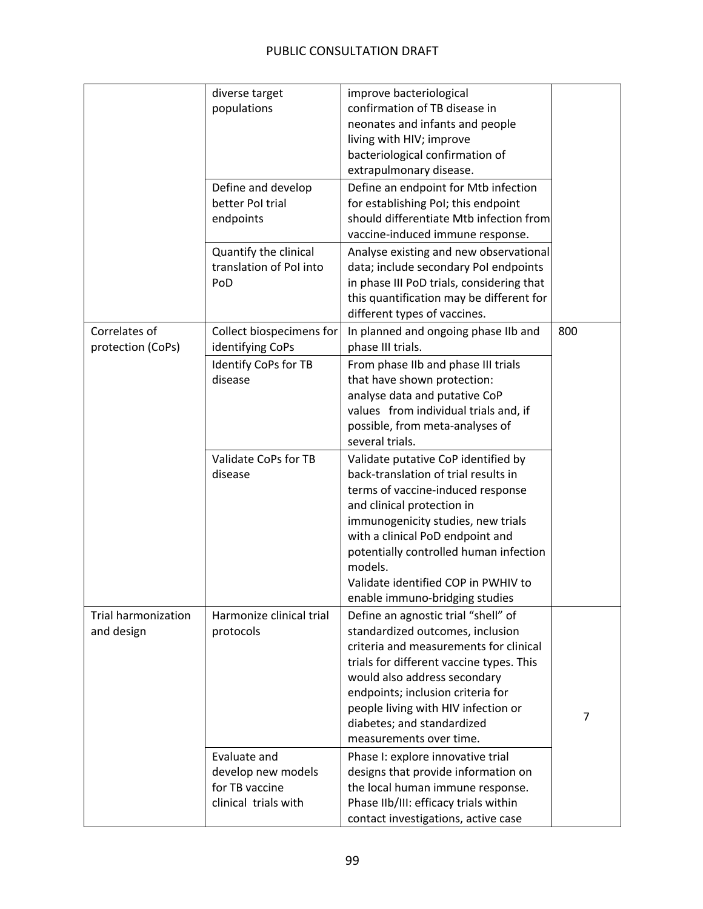|                                          | diverse target<br>populations<br>Define and develop<br>better Pol trial<br>endpoints | improve bacteriological<br>confirmation of TB disease in<br>neonates and infants and people<br>living with HIV; improve<br>bacteriological confirmation of<br>extrapulmonary disease.<br>Define an endpoint for Mtb infection<br>for establishing Pol; this endpoint<br>should differentiate Mtb infection from<br>vaccine-induced immune response.    |     |
|------------------------------------------|--------------------------------------------------------------------------------------|--------------------------------------------------------------------------------------------------------------------------------------------------------------------------------------------------------------------------------------------------------------------------------------------------------------------------------------------------------|-----|
|                                          | Quantify the clinical<br>translation of Pol into<br>PoD                              | Analyse existing and new observational<br>data; include secondary Pol endpoints<br>in phase III PoD trials, considering that<br>this quantification may be different for<br>different types of vaccines.                                                                                                                                               |     |
| Correlates of<br>protection (CoPs)       | Collect biospecimens for<br>identifying CoPs                                         | In planned and ongoing phase IIb and<br>phase III trials.                                                                                                                                                                                                                                                                                              | 800 |
|                                          | Identify CoPs for TB<br>disease                                                      | From phase IIb and phase III trials<br>that have shown protection:<br>analyse data and putative CoP<br>values from individual trials and, if<br>possible, from meta-analyses of<br>several trials.                                                                                                                                                     |     |
|                                          | Validate CoPs for TB<br>disease                                                      | Validate putative CoP identified by<br>back-translation of trial results in<br>terms of vaccine-induced response<br>and clinical protection in<br>immunogenicity studies, new trials<br>with a clinical PoD endpoint and<br>potentially controlled human infection<br>models.<br>Validate identified COP in PWHIV to<br>enable immuno-bridging studies |     |
| <b>Trial harmonization</b><br>and design | Harmonize clinical trial<br>protocols                                                | Define an agnostic trial "shell" of<br>standardized outcomes, inclusion<br>criteria and measurements for clinical<br>trials for different vaccine types. This<br>would also address secondary<br>endpoints; inclusion criteria for<br>people living with HIV infection or<br>diabetes; and standardized<br>measurements over time.                     | 7   |
|                                          | Evaluate and<br>develop new models<br>for TB vaccine<br>clinical trials with         | Phase I: explore innovative trial<br>designs that provide information on<br>the local human immune response.<br>Phase IIb/III: efficacy trials within<br>contact investigations, active case                                                                                                                                                           |     |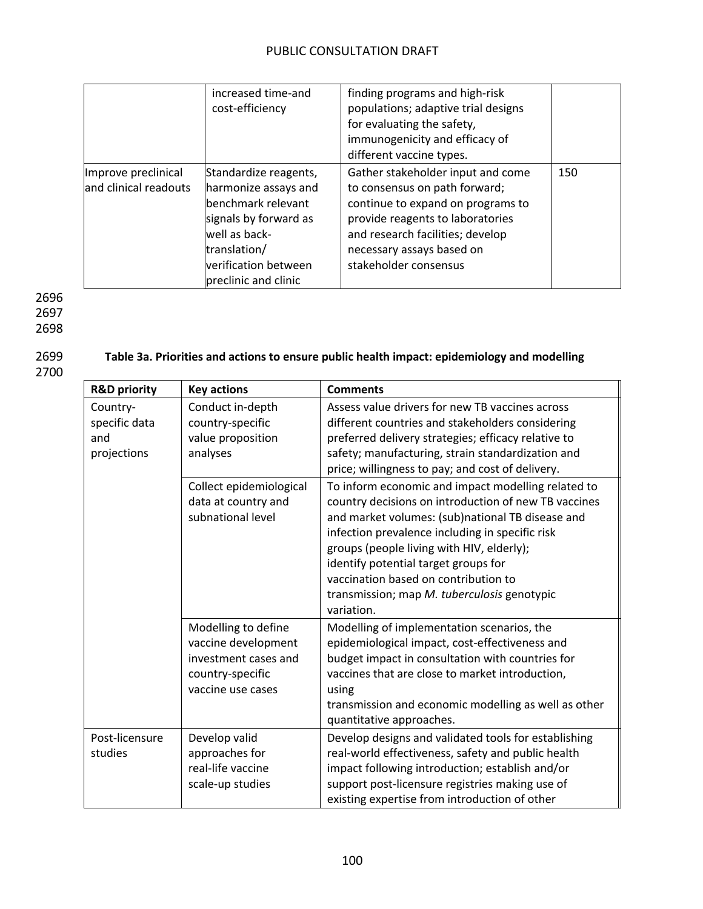|                                              | increased time-and<br>cost-efficiency                                                                                                                                         | finding programs and high-risk<br>populations; adaptive trial designs<br>for evaluating the safety,<br>immunogenicity and efficacy of<br>different vaccine types.                                                                     |     |
|----------------------------------------------|-------------------------------------------------------------------------------------------------------------------------------------------------------------------------------|---------------------------------------------------------------------------------------------------------------------------------------------------------------------------------------------------------------------------------------|-----|
| Improve preclinical<br>and clinical readouts | Standardize reagents,<br>harmonize assays and<br>benchmark relevant<br>signals by forward as<br>well as back-<br>translation/<br>verification between<br>preclinic and clinic | Gather stakeholder input and come<br>to consensus on path forward;<br>continue to expand on programs to<br>provide reagents to laboratories<br>and research facilities; develop<br>necessary assays based on<br>stakeholder consensus | 150 |

2696 2697

2698

## 2699 **Table 3a. Priorities and actions to ensure public health impact: epidemiology and modelling**

| <b>R&amp;D priority</b>                         | <b>Key actions</b>                                                                                          | <b>Comments</b>                                                                                                                                                                                                                                                                                                                                                                                             |
|-------------------------------------------------|-------------------------------------------------------------------------------------------------------------|-------------------------------------------------------------------------------------------------------------------------------------------------------------------------------------------------------------------------------------------------------------------------------------------------------------------------------------------------------------------------------------------------------------|
| Country-<br>specific data<br>and<br>projections | Conduct in-depth<br>country-specific<br>value proposition<br>analyses                                       | Assess value drivers for new TB vaccines across<br>different countries and stakeholders considering<br>preferred delivery strategies; efficacy relative to<br>safety; manufacturing, strain standardization and<br>price; willingness to pay; and cost of delivery.                                                                                                                                         |
|                                                 | Collect epidemiological<br>data at country and<br>subnational level                                         | To inform economic and impact modelling related to<br>country decisions on introduction of new TB vaccines<br>and market volumes: (sub)national TB disease and<br>infection prevalence including in specific risk<br>groups (people living with HIV, elderly);<br>identify potential target groups for<br>vaccination based on contribution to<br>transmission; map M. tuberculosis genotypic<br>variation. |
|                                                 | Modelling to define<br>vaccine development<br>investment cases and<br>country-specific<br>vaccine use cases | Modelling of implementation scenarios, the<br>epidemiological impact, cost-effectiveness and<br>budget impact in consultation with countries for<br>vaccines that are close to market introduction,<br>using<br>transmission and economic modelling as well as other<br>quantitative approaches.                                                                                                            |
| Post-licensure<br>studies                       | Develop valid<br>approaches for<br>real-life vaccine<br>scale-up studies                                    | Develop designs and validated tools for establishing<br>real-world effectiveness, safety and public health<br>impact following introduction; establish and/or<br>support post-licensure registries making use of<br>existing expertise from introduction of other                                                                                                                                           |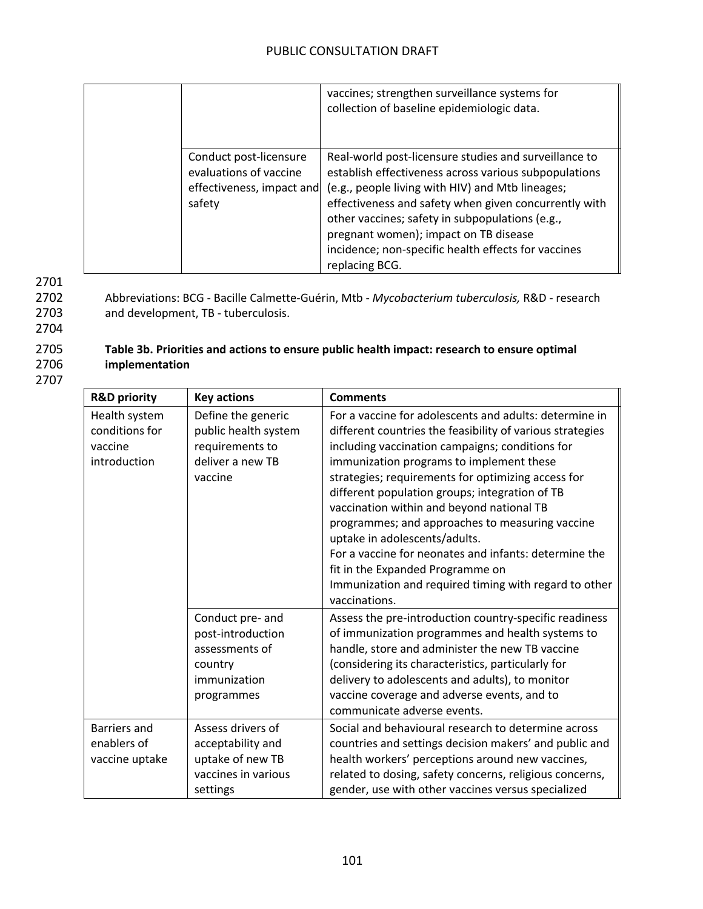|                                                                                         | vaccines; strengthen surveillance systems for<br>collection of baseline epidemiologic data.                                                                                                                                                                                                                                                                                                      |
|-----------------------------------------------------------------------------------------|--------------------------------------------------------------------------------------------------------------------------------------------------------------------------------------------------------------------------------------------------------------------------------------------------------------------------------------------------------------------------------------------------|
| Conduct post-licensure<br>evaluations of vaccine<br>effectiveness, impact and<br>safety | Real-world post-licensure studies and surveillance to<br>establish effectiveness across various subpopulations<br>(e.g., people living with HIV) and Mtb lineages;<br>effectiveness and safety when given concurrently with<br>other vaccines; safety in subpopulations (e.g.,<br>pregnant women); impact on TB disease<br>incidence; non-specific health effects for vaccines<br>replacing BCG. |

2702 Abbreviations: BCG - Bacille Calmette-Guérin, Mtb - *Mycobacterium tuberculosis,* R&D - research 2703 and development, TB - tuberculosis. 2704

## 2705 **Table 3b. Priorities and actions to ensure public health impact: research to ensure optimal implementation**

| <b>R&amp;D priority</b>                                    | <b>Key actions</b>                                                                               | <b>Comments</b>                                                                                                                                                                                                                                                                                                                                                                                                                                                                                                                                                                                                                    |
|------------------------------------------------------------|--------------------------------------------------------------------------------------------------|------------------------------------------------------------------------------------------------------------------------------------------------------------------------------------------------------------------------------------------------------------------------------------------------------------------------------------------------------------------------------------------------------------------------------------------------------------------------------------------------------------------------------------------------------------------------------------------------------------------------------------|
| Health system<br>conditions for<br>vaccine<br>introduction | Define the generic<br>public health system<br>requirements to<br>deliver a new TB<br>vaccine     | For a vaccine for adolescents and adults: determine in<br>different countries the feasibility of various strategies<br>including vaccination campaigns; conditions for<br>immunization programs to implement these<br>strategies; requirements for optimizing access for<br>different population groups; integration of TB<br>vaccination within and beyond national TB<br>programmes; and approaches to measuring vaccine<br>uptake in adolescents/adults.<br>For a vaccine for neonates and infants: determine the<br>fit in the Expanded Programme on<br>Immunization and required timing with regard to other<br>vaccinations. |
|                                                            | Conduct pre- and<br>post-introduction<br>assessments of<br>country<br>immunization<br>programmes | Assess the pre-introduction country-specific readiness<br>of immunization programmes and health systems to<br>handle, store and administer the new TB vaccine<br>(considering its characteristics, particularly for<br>delivery to adolescents and adults), to monitor<br>vaccine coverage and adverse events, and to<br>communicate adverse events.                                                                                                                                                                                                                                                                               |
| <b>Barriers and</b><br>enablers of<br>vaccine uptake       | Assess drivers of<br>acceptability and<br>uptake of new TB<br>vaccines in various<br>settings    | Social and behavioural research to determine across<br>countries and settings decision makers' and public and<br>health workers' perceptions around new vaccines,<br>related to dosing, safety concerns, religious concerns,<br>gender, use with other vaccines versus specialized                                                                                                                                                                                                                                                                                                                                                 |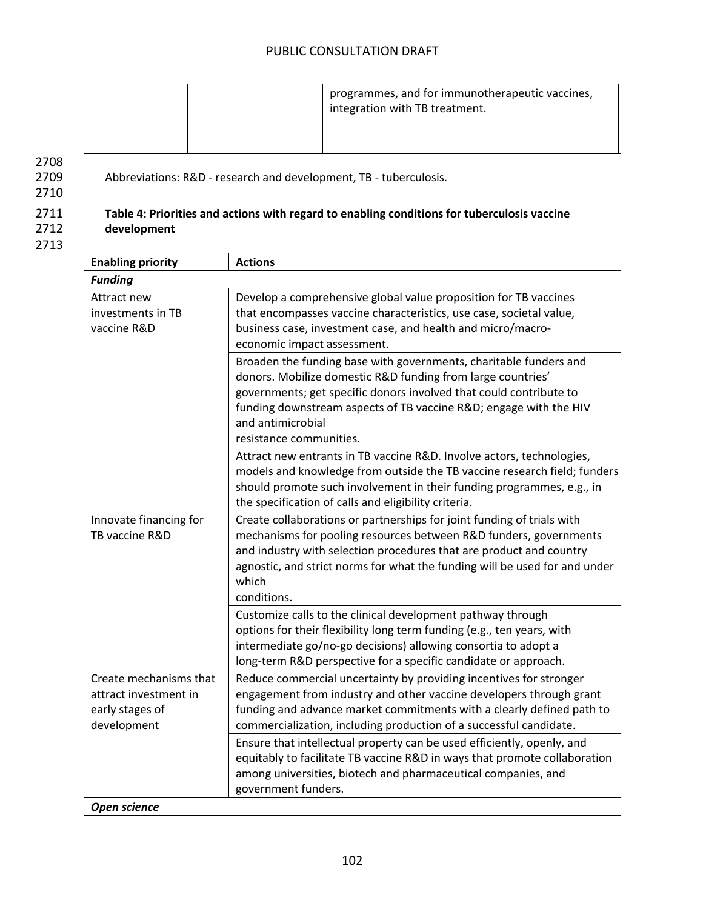|  | programmes, and for immunotherapeutic vaccines,<br>integration with TB treatment. |
|--|-----------------------------------------------------------------------------------|
|--|-----------------------------------------------------------------------------------|

2710

2709 Abbreviations: R&D - research and development, TB - tuberculosis.

### 2711 **Table 4: Priorities and actions with regard to enabling conditions for tuberculosis vaccine**  2712 **development**

| <b>Enabling priority</b>                                                          | <b>Actions</b>                                                                                                                                                                                                                                                                                                             |
|-----------------------------------------------------------------------------------|----------------------------------------------------------------------------------------------------------------------------------------------------------------------------------------------------------------------------------------------------------------------------------------------------------------------------|
| <b>Funding</b>                                                                    |                                                                                                                                                                                                                                                                                                                            |
| Attract new<br>investments in TB<br>vaccine R&D                                   | Develop a comprehensive global value proposition for TB vaccines<br>that encompasses vaccine characteristics, use case, societal value,<br>business case, investment case, and health and micro/macro-<br>economic impact assessment.                                                                                      |
|                                                                                   | Broaden the funding base with governments, charitable funders and<br>donors. Mobilize domestic R&D funding from large countries'<br>governments; get specific donors involved that could contribute to<br>funding downstream aspects of TB vaccine R&D engage with the HIV<br>and antimicrobial<br>resistance communities. |
|                                                                                   | Attract new entrants in TB vaccine R&D. Involve actors, technologies,<br>models and knowledge from outside the TB vaccine research field; funders<br>should promote such involvement in their funding programmes, e.g., in<br>the specification of calls and eligibility criteria.                                         |
| Innovate financing for<br>TB vaccine R&D                                          | Create collaborations or partnerships for joint funding of trials with<br>mechanisms for pooling resources between R&D funders, governments<br>and industry with selection procedures that are product and country<br>agnostic, and strict norms for what the funding will be used for and under<br>which<br>conditions.   |
|                                                                                   | Customize calls to the clinical development pathway through<br>options for their flexibility long term funding (e.g., ten years, with<br>intermediate go/no-go decisions) allowing consortia to adopt a<br>long-term R&D perspective for a specific candidate or approach.                                                 |
| Create mechanisms that<br>attract investment in<br>early stages of<br>development | Reduce commercial uncertainty by providing incentives for stronger<br>engagement from industry and other vaccine developers through grant<br>funding and advance market commitments with a clearly defined path to<br>commercialization, including production of a successful candidate.                                   |
|                                                                                   | Ensure that intellectual property can be used efficiently, openly, and<br>equitably to facilitate TB vaccine R&D in ways that promote collaboration<br>among universities, biotech and pharmaceutical companies, and<br>government funders.                                                                                |
| Open science                                                                      |                                                                                                                                                                                                                                                                                                                            |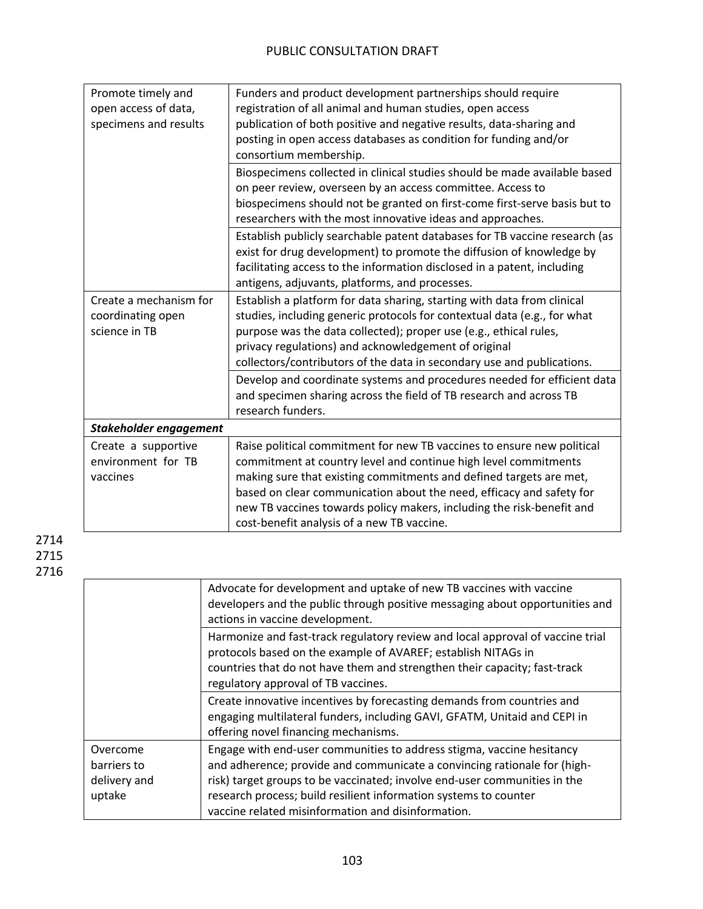| Promote timely and     | Funders and product development partnerships should require                    |  |
|------------------------|--------------------------------------------------------------------------------|--|
| open access of data,   | registration of all animal and human studies, open access                      |  |
| specimens and results  | publication of both positive and negative results, data-sharing and            |  |
|                        | posting in open access databases as condition for funding and/or               |  |
|                        | consortium membership.                                                         |  |
|                        | Biospecimens collected in clinical studies should be made available based      |  |
|                        | on peer review, overseen by an access committee. Access to                     |  |
|                        | biospecimens should not be granted on first-come first-serve basis but to      |  |
|                        | researchers with the most innovative ideas and approaches.                     |  |
|                        | Establish publicly searchable patent databases for TB vaccine research (as     |  |
|                        | exist for drug development) to promote the diffusion of knowledge by           |  |
|                        | facilitating access to the information disclosed in a patent, including        |  |
|                        | antigens, adjuvants, platforms, and processes.                                 |  |
| Create a mechanism for | Establish a platform for data sharing, starting with data from clinical        |  |
| coordinating open      | studies, including generic protocols for contextual data (e.g., for what       |  |
| science in TB          | purpose was the data collected); proper use (e.g., ethical rules,              |  |
|                        | privacy regulations) and acknowledgement of original                           |  |
|                        | collectors/contributors of the data in secondary use and publications.         |  |
|                        | Develop and coordinate systems and procedures needed for efficient data        |  |
|                        | and specimen sharing across the field of TB research and across TB             |  |
|                        | research funders.                                                              |  |
| Stakeholder engagement |                                                                                |  |
| Create a supportive    | Raise political commitment for new TB vaccines to ensure new political         |  |
| environment for TB     | commitment at country level and continue high level commitments                |  |
| vaccines               | making sure that existing commitments and defined targets are met,             |  |
|                        | based on clear communication about the need, efficacy and safety for           |  |
|                        | new TB vaccines towards policy makers, including the risk-benefit and          |  |
|                        | cost-benefit analysis of a new TB vaccine.                                     |  |
|                        |                                                                                |  |
|                        | Advocate for development and uptake of new TB vaccines with vaccine            |  |
|                        | developers and the public through positive messaging about opportunities and   |  |
|                        | actions in vaccine development.                                                |  |
|                        | Harmonize and fast-track regulatory review and local approval of vaccine trial |  |
|                        | protocols based on the example of AVAREF; establish NITAGs in                  |  |
|                        | countries that do not have them and strengthen their capacity; fast-track      |  |
|                        | regulatory approval of TB vaccines.                                            |  |
|                        | Create innovative incentives by forecasting demands from countries and         |  |
|                        | engaging multilateral funders, including GAVI, GFATM, Unitaid and CEPI in      |  |
|                        | offering novel financing mechanisms.                                           |  |
| Overcome               | Engage with end-user communities to address stigma, vaccine hesitancy          |  |
| barriers to            | and adherence; provide and communicate a convincing rationale for (high-       |  |
| delivery and           | risk) target groups to be vaccinated; involve end-user communities in the      |  |
| uptake                 | research process; build resilient information systems to counter               |  |
|                        | vaccine related misinformation and disinformation.                             |  |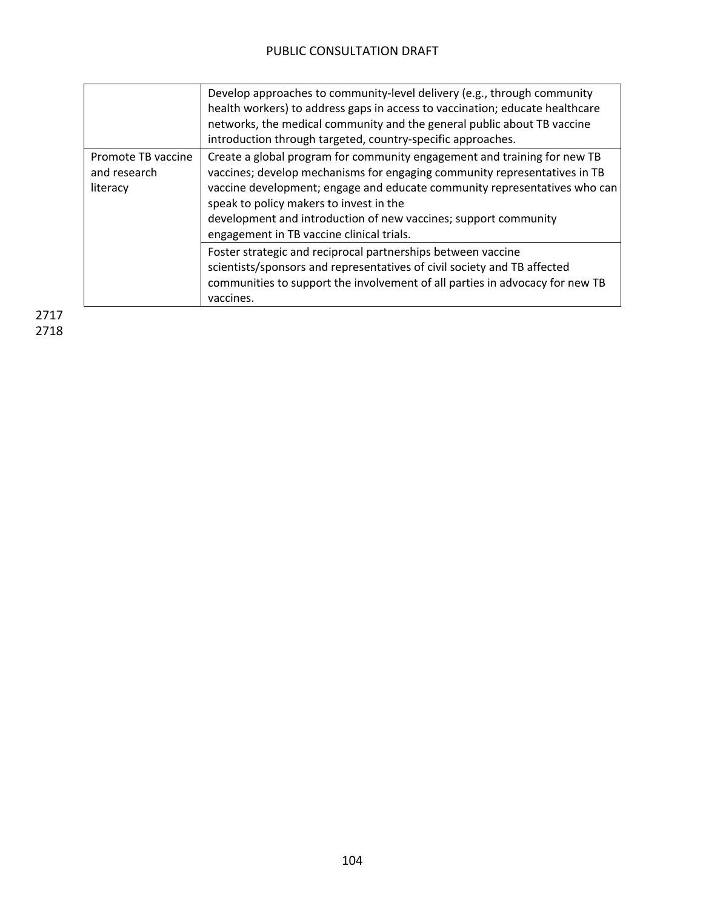|                                                | Develop approaches to community-level delivery (e.g., through community<br>health workers) to address gaps in access to vaccination; educate healthcare<br>networks, the medical community and the general public about TB vaccine<br>introduction through targeted, country-specific approaches.                                                                                             |
|------------------------------------------------|-----------------------------------------------------------------------------------------------------------------------------------------------------------------------------------------------------------------------------------------------------------------------------------------------------------------------------------------------------------------------------------------------|
| Promote TB vaccine<br>and research<br>literacy | Create a global program for community engagement and training for new TB<br>vaccines; develop mechanisms for engaging community representatives in TB<br>vaccine development; engage and educate community representatives who can<br>speak to policy makers to invest in the<br>development and introduction of new vaccines; support community<br>engagement in TB vaccine clinical trials. |
|                                                | Foster strategic and reciprocal partnerships between vaccine<br>scientists/sponsors and representatives of civil society and TB affected<br>communities to support the involvement of all parties in advocacy for new TB<br>vaccines.                                                                                                                                                         |
|                                                |                                                                                                                                                                                                                                                                                                                                                                                               |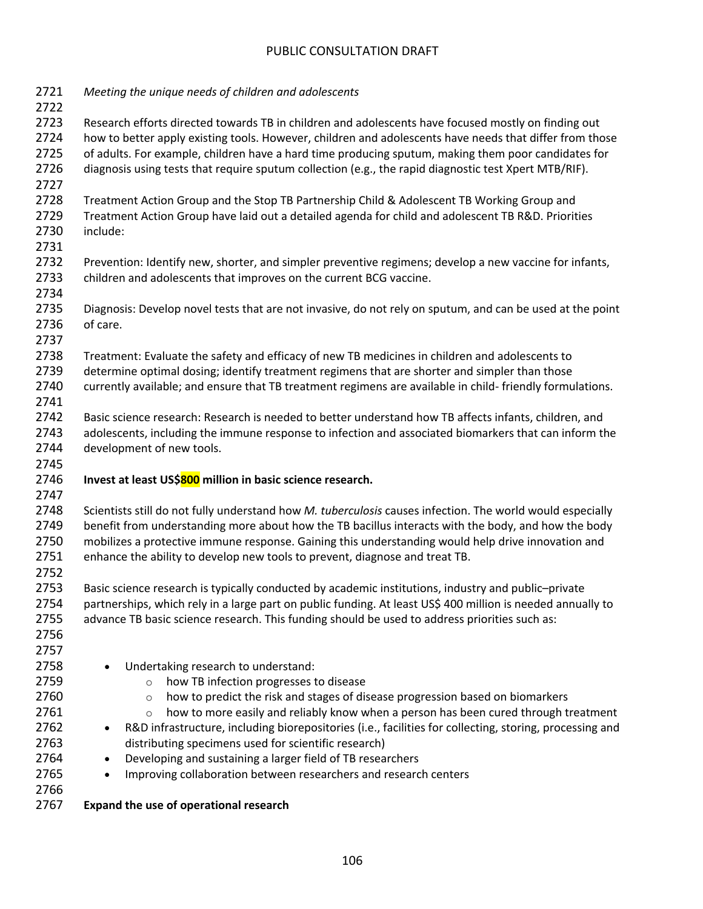| 2721<br>2722 | Meeting the unique needs of children and adolescents                                                                 |  |  |  |
|--------------|----------------------------------------------------------------------------------------------------------------------|--|--|--|
| 2723         | Research efforts directed towards TB in children and adolescents have focused mostly on finding out                  |  |  |  |
| 2724         | how to better apply existing tools. However, children and adolescents have needs that differ from those              |  |  |  |
| 2725         | of adults. For example, children have a hard time producing sputum, making them poor candidates for                  |  |  |  |
| 2726         | diagnosis using tests that require sputum collection (e.g., the rapid diagnostic test Xpert MTB/RIF).                |  |  |  |
| 2727         |                                                                                                                      |  |  |  |
| 2728         | Treatment Action Group and the Stop TB Partnership Child & Adolescent TB Working Group and                           |  |  |  |
| 2729         | Treatment Action Group have laid out a detailed agenda for child and adolescent TB R&D. Priorities                   |  |  |  |
| 2730         | include:                                                                                                             |  |  |  |
| 2731         |                                                                                                                      |  |  |  |
| 2732         | Prevention: Identify new, shorter, and simpler preventive regimens; develop a new vaccine for infants,               |  |  |  |
| 2733         | children and adolescents that improves on the current BCG vaccine.                                                   |  |  |  |
| 2734         |                                                                                                                      |  |  |  |
| 2735         | Diagnosis: Develop novel tests that are not invasive, do not rely on sputum, and can be used at the point            |  |  |  |
| 2736         | of care.                                                                                                             |  |  |  |
| 2737         |                                                                                                                      |  |  |  |
| 2738         | Treatment: Evaluate the safety and efficacy of new TB medicines in children and adolescents to                       |  |  |  |
| 2739         | determine optimal dosing; identify treatment regimens that are shorter and simpler than those                        |  |  |  |
| 2740         | currently available; and ensure that TB treatment regimens are available in child-friendly formulations.             |  |  |  |
| 2741         |                                                                                                                      |  |  |  |
| 2742         | Basic science research: Research is needed to better understand how TB affects infants, children, and                |  |  |  |
| 2743         | adolescents, including the immune response to infection and associated biomarkers that can inform the                |  |  |  |
| 2744         | development of new tools.                                                                                            |  |  |  |
| 2745         |                                                                                                                      |  |  |  |
| 2746         | Invest at least US\$800 million in basic science research.                                                           |  |  |  |
| 2747         |                                                                                                                      |  |  |  |
| 2748         | Scientists still do not fully understand how M. tuberculosis causes infection. The world would especially            |  |  |  |
| 2749         | benefit from understanding more about how the TB bacillus interacts with the body, and how the body                  |  |  |  |
| 2750<br>2751 | mobilizes a protective immune response. Gaining this understanding would help drive innovation and                   |  |  |  |
| 2752         | enhance the ability to develop new tools to prevent, diagnose and treat TB.                                          |  |  |  |
| 2753         | Basic science research is typically conducted by academic institutions, industry and public-private                  |  |  |  |
| 2754         | partnerships, which rely in a large part on public funding. At least US\$ 400 million is needed annually to          |  |  |  |
| 2755         | advance TB basic science research. This funding should be used to address priorities such as:                        |  |  |  |
| 2756         |                                                                                                                      |  |  |  |
| 2757         |                                                                                                                      |  |  |  |
| 2758         | Undertaking research to understand:                                                                                  |  |  |  |
| 2759         | how TB infection progresses to disease<br>$\circ$                                                                    |  |  |  |
| 2760         | how to predict the risk and stages of disease progression based on biomarkers<br>$\circ$                             |  |  |  |
| 2761         | how to more easily and reliably know when a person has been cured through treatment<br>$\circ$                       |  |  |  |
| 2762         | R&D infrastructure, including biorepositories (i.e., facilities for collecting, storing, processing and<br>$\bullet$ |  |  |  |
| 2763         | distributing specimens used for scientific research)                                                                 |  |  |  |
| 2764         | Developing and sustaining a larger field of TB researchers                                                           |  |  |  |
| 2765         | Improving collaboration between researchers and research centers                                                     |  |  |  |
| 2766         |                                                                                                                      |  |  |  |
| 2767         | Expand the use of operational research                                                                               |  |  |  |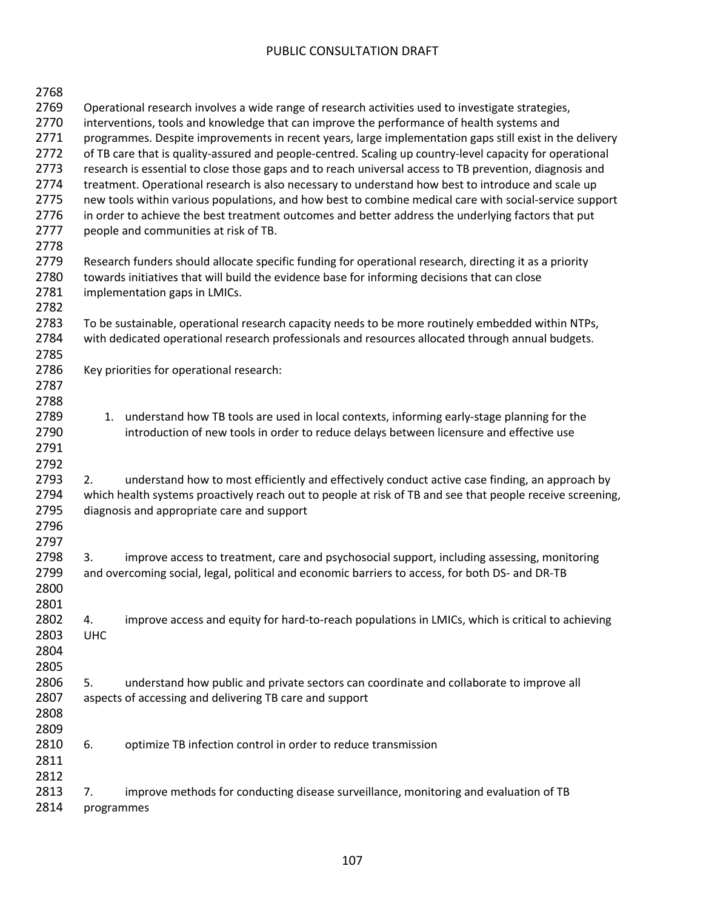| 2768 |                                                                                                           |  |  |
|------|-----------------------------------------------------------------------------------------------------------|--|--|
| 2769 | Operational research involves a wide range of research activities used to investigate strategies,         |  |  |
| 2770 | interventions, tools and knowledge that can improve the performance of health systems and                 |  |  |
| 2771 | programmes. Despite improvements in recent years, large implementation gaps still exist in the delivery   |  |  |
| 2772 | of TB care that is quality-assured and people-centred. Scaling up country-level capacity for operational  |  |  |
| 2773 | research is essential to close those gaps and to reach universal access to TB prevention, diagnosis and   |  |  |
| 2774 | treatment. Operational research is also necessary to understand how best to introduce and scale up        |  |  |
| 2775 |                                                                                                           |  |  |
|      | new tools within various populations, and how best to combine medical care with social-service support    |  |  |
| 2776 | in order to achieve the best treatment outcomes and better address the underlying factors that put        |  |  |
| 2777 | people and communities at risk of TB.                                                                     |  |  |
| 2778 |                                                                                                           |  |  |
| 2779 | Research funders should allocate specific funding for operational research, directing it as a priority    |  |  |
| 2780 | towards initiatives that will build the evidence base for informing decisions that can close              |  |  |
| 2781 | implementation gaps in LMICs.                                                                             |  |  |
| 2782 |                                                                                                           |  |  |
| 2783 | To be sustainable, operational research capacity needs to be more routinely embedded within NTPs,         |  |  |
| 2784 | with dedicated operational research professionals and resources allocated through annual budgets.         |  |  |
| 2785 |                                                                                                           |  |  |
| 2786 | Key priorities for operational research:                                                                  |  |  |
| 2787 |                                                                                                           |  |  |
| 2788 |                                                                                                           |  |  |
| 2789 | understand how TB tools are used in local contexts, informing early-stage planning for the<br>1.          |  |  |
| 2790 | introduction of new tools in order to reduce delays between licensure and effective use                   |  |  |
| 2791 |                                                                                                           |  |  |
| 2792 |                                                                                                           |  |  |
| 2793 | understand how to most efficiently and effectively conduct active case finding, an approach by<br>2.      |  |  |
| 2794 | which health systems proactively reach out to people at risk of TB and see that people receive screening, |  |  |
| 2795 | diagnosis and appropriate care and support                                                                |  |  |
| 2796 |                                                                                                           |  |  |
| 2797 |                                                                                                           |  |  |
| 2798 |                                                                                                           |  |  |
|      | improve access to treatment, care and psychosocial support, including assessing, monitoring<br>3.         |  |  |
| 2799 | and overcoming social, legal, political and economic barriers to access, for both DS- and DR-TB           |  |  |
| 2800 |                                                                                                           |  |  |
| 2801 |                                                                                                           |  |  |
| 2802 | improve access and equity for hard-to-reach populations in LMICs, which is critical to achieving<br>4.    |  |  |
| 2803 | <b>UHC</b>                                                                                                |  |  |
| 2804 |                                                                                                           |  |  |
| 2805 |                                                                                                           |  |  |
| 2806 | understand how public and private sectors can coordinate and collaborate to improve all<br>5.             |  |  |
| 2807 | aspects of accessing and delivering TB care and support                                                   |  |  |
| 2808 |                                                                                                           |  |  |
| 2809 |                                                                                                           |  |  |
| 2810 | 6.<br>optimize TB infection control in order to reduce transmission                                       |  |  |
| 2811 |                                                                                                           |  |  |
| 2812 |                                                                                                           |  |  |
| 2813 | improve methods for conducting disease surveillance, monitoring and evaluation of TB<br>7.                |  |  |
| 2814 | programmes                                                                                                |  |  |
|      |                                                                                                           |  |  |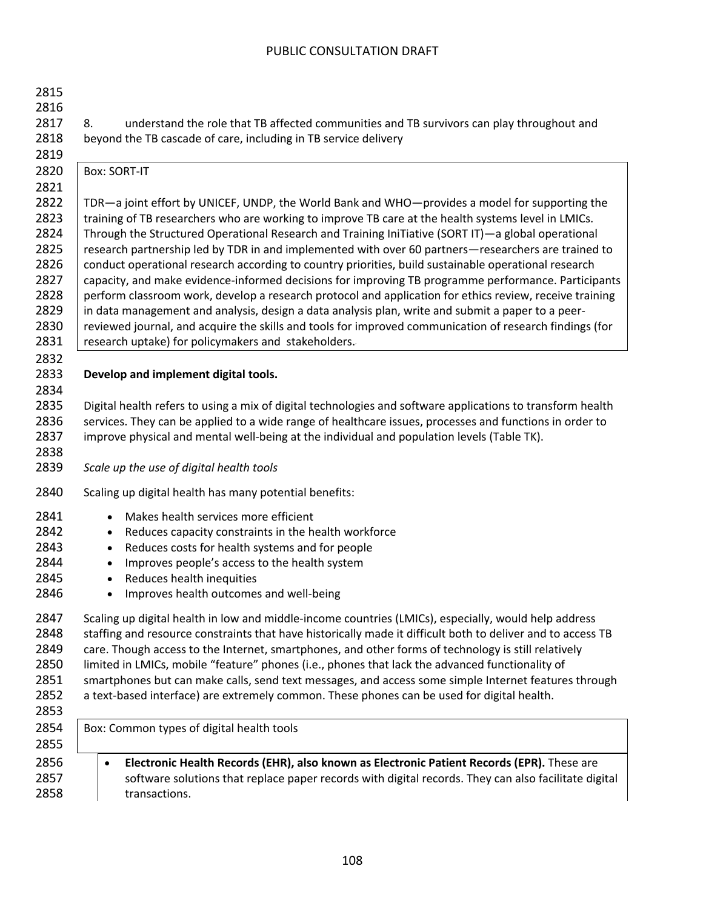| 2815<br>2816<br>2817<br>2818<br>2819                         | understand the role that TB affected communities and TB survivors can play throughout and<br>8.<br>beyond the TB cascade of care, including in TB service delivery                                                                                                                                                                                                                                                                                                                                                                                                                                                                                                                                                                                                                                         |
|--------------------------------------------------------------|------------------------------------------------------------------------------------------------------------------------------------------------------------------------------------------------------------------------------------------------------------------------------------------------------------------------------------------------------------------------------------------------------------------------------------------------------------------------------------------------------------------------------------------------------------------------------------------------------------------------------------------------------------------------------------------------------------------------------------------------------------------------------------------------------------|
| 2820<br>2821<br>2822<br>2823                                 | <b>Box: SORT-IT</b><br>TDR-a joint effort by UNICEF, UNDP, the World Bank and WHO-provides a model for supporting the<br>training of TB researchers who are working to improve TB care at the health systems level in LMICs.                                                                                                                                                                                                                                                                                                                                                                                                                                                                                                                                                                               |
| 2824<br>2825<br>2826<br>2827<br>2828<br>2829<br>2830<br>2831 | Through the Structured Operational Research and Training IniTiative (SORT IT)—a global operational<br>research partnership led by TDR in and implemented with over 60 partners—researchers are trained to<br>conduct operational research according to country priorities, build sustainable operational research<br>capacity, and make evidence-informed decisions for improving TB programme performance. Participants<br>perform classroom work, develop a research protocol and application for ethics review, receive training<br>in data management and analysis, design a data analysis plan, write and submit a paper to a peer-<br>reviewed journal, and acquire the skills and tools for improved communication of research findings (for<br>research uptake) for policymakers and stakeholders. |
| 2832<br>2833<br>2834                                         | Develop and implement digital tools.                                                                                                                                                                                                                                                                                                                                                                                                                                                                                                                                                                                                                                                                                                                                                                       |
| 2835<br>2836<br>2837<br>2838<br>2839                         | Digital health refers to using a mix of digital technologies and software applications to transform health<br>services. They can be applied to a wide range of healthcare issues, processes and functions in order to<br>improve physical and mental well-being at the individual and population levels (Table TK).<br>Scale up the use of digital health tools                                                                                                                                                                                                                                                                                                                                                                                                                                            |
| 2840                                                         | Scaling up digital health has many potential benefits:                                                                                                                                                                                                                                                                                                                                                                                                                                                                                                                                                                                                                                                                                                                                                     |
| 2841<br>2842<br>2843<br>2844<br>2845<br>2846                 | Makes health services more efficient<br>$\bullet$<br>Reduces capacity constraints in the health workforce<br>٠<br>Reduces costs for health systems and for people<br>$\bullet$<br>Improves people's access to the health system<br>$\bullet$<br>Reduces health inequities<br>$\bullet$<br>Improves health outcomes and well-being                                                                                                                                                                                                                                                                                                                                                                                                                                                                          |
| 2847<br>2848<br>2849<br>2850<br>2851<br>2852<br>2853         | Scaling up digital health in low and middle-income countries (LMICs), especially, would help address<br>staffing and resource constraints that have historically made it difficult both to deliver and to access TB<br>care. Though access to the Internet, smartphones, and other forms of technology is still relatively<br>limited in LMICs, mobile "feature" phones (i.e., phones that lack the advanced functionality of<br>smartphones but can make calls, send text messages, and access some simple Internet features through<br>a text-based interface) are extremely common. These phones can be used for digital health.                                                                                                                                                                        |
| 2854<br>2855                                                 | Box: Common types of digital health tools                                                                                                                                                                                                                                                                                                                                                                                                                                                                                                                                                                                                                                                                                                                                                                  |
| 2856<br>2857<br>2858                                         | Electronic Health Records (EHR), also known as Electronic Patient Records (EPR). These are<br>$\bullet$<br>software solutions that replace paper records with digital records. They can also facilitate digital<br>transactions.                                                                                                                                                                                                                                                                                                                                                                                                                                                                                                                                                                           |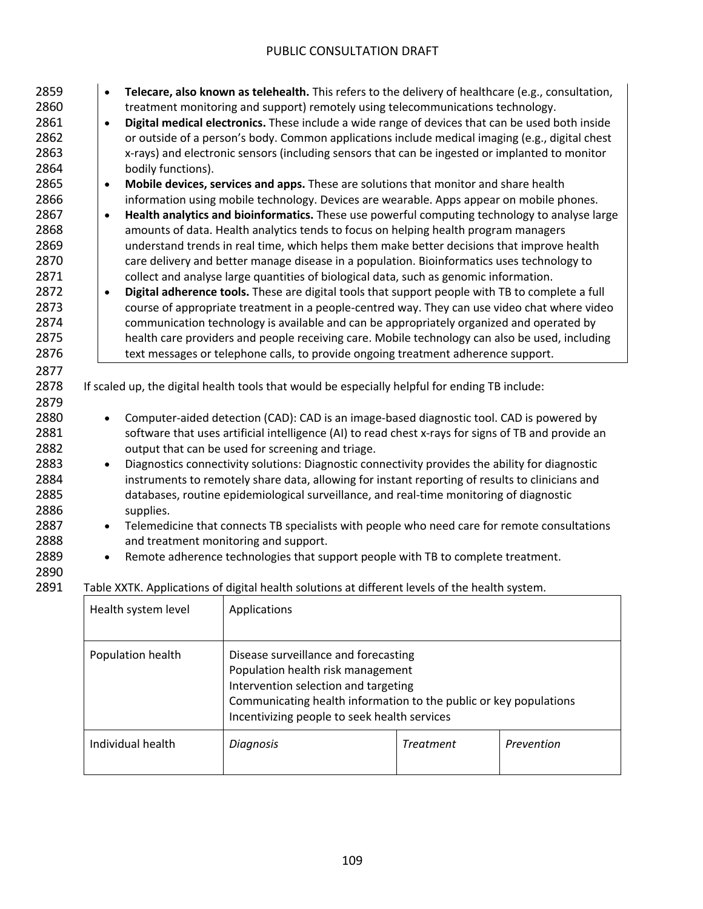| 2859 | Telecare, also known as telehealth. This refers to the delivery of healthcare (e.g., consultation,<br>$\bullet$ |  |
|------|-----------------------------------------------------------------------------------------------------------------|--|
| 2860 | treatment monitoring and support) remotely using telecommunications technology.                                 |  |
| 2861 | Digital medical electronics. These include a wide range of devices that can be used both inside<br>$\bullet$    |  |
| 2862 | or outside of a person's body. Common applications include medical imaging (e.g., digital chest                 |  |
| 2863 | x-rays) and electronic sensors (including sensors that can be ingested or implanted to monitor                  |  |
| 2864 | bodily functions).                                                                                              |  |
| 2865 | Mobile devices, services and apps. These are solutions that monitor and share health<br>$\bullet$               |  |
| 2866 | information using mobile technology. Devices are wearable. Apps appear on mobile phones.                        |  |
| 2867 | Health analytics and bioinformatics. These use powerful computing technology to analyse large<br>$\bullet$      |  |
| 2868 | amounts of data. Health analytics tends to focus on helping health program managers                             |  |
| 2869 | understand trends in real time, which helps them make better decisions that improve health                      |  |
| 2870 | care delivery and better manage disease in a population. Bioinformatics uses technology to                      |  |
| 2871 | collect and analyse large quantities of biological data, such as genomic information.                           |  |
| 2872 | Digital adherence tools. These are digital tools that support people with TB to complete a full<br>$\bullet$    |  |
| 2873 | course of appropriate treatment in a people-centred way. They can use video chat where video                    |  |
| 2874 | communication technology is available and can be appropriately organized and operated by                        |  |
| 2875 | health care providers and people receiving care. Mobile technology can also be used, including                  |  |
| 2876 | text messages or telephone calls, to provide ongoing treatment adherence support.                               |  |
| 2877 |                                                                                                                 |  |
| 2878 | If scaled up, the digital health tools that would be especially helpful for ending TB include:                  |  |
| 2879 |                                                                                                                 |  |
| 2880 | Computer-aided detection (CAD): CAD is an image-based diagnostic tool. CAD is powered by<br>$\bullet$           |  |
| 2881 | software that uses artificial intelligence (AI) to read chest x-rays for signs of TB and provide an             |  |
| 2882 | output that can be used for screening and triage.                                                               |  |
| 2883 | Diagnostics connectivity solutions: Diagnostic connectivity provides the ability for diagnostic<br>$\bullet$    |  |
|      |                                                                                                                 |  |
| 2884 | instruments to remotely share data, allowing for instant reporting of results to clinicians and                 |  |
| 2885 | databases, routine epidemiological surveillance, and real-time monitoring of diagnostic                         |  |
| 2886 | supplies.                                                                                                       |  |
| 2887 | Telemedicine that connects TB specialists with people who need care for remote consultations<br>$\bullet$       |  |
| 2888 | and treatment monitoring and support.                                                                           |  |
| 2889 | Remote adherence technologies that support people with TB to complete treatment.<br>$\bullet$                   |  |
| 2890 |                                                                                                                 |  |
| 2891 | Table XXTK. Applications of digital health solutions at different levels of the health system.                  |  |

| Health system level | Applications                                                                                                                                                                                                                           |                  |            |
|---------------------|----------------------------------------------------------------------------------------------------------------------------------------------------------------------------------------------------------------------------------------|------------------|------------|
| Population health   | Disease surveillance and forecasting<br>Population health risk management<br>Intervention selection and targeting<br>Communicating health information to the public or key populations<br>Incentivizing people to seek health services |                  |            |
| Individual health   | <b>Diagnosis</b>                                                                                                                                                                                                                       | <b>Treatment</b> | Prevention |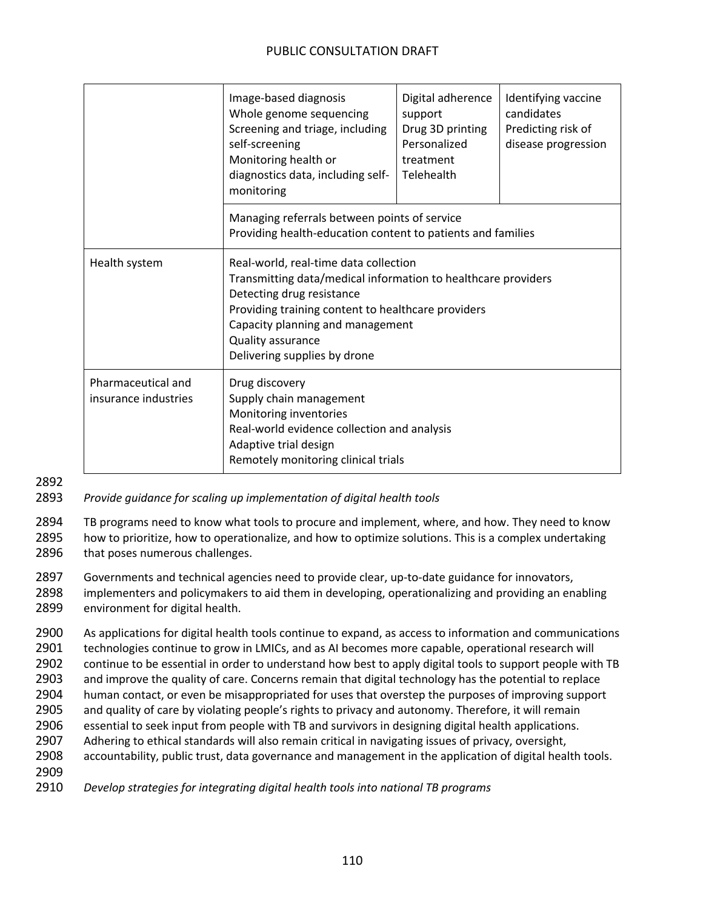|                                            | Image-based diagnosis<br>Whole genome sequencing<br>Screening and triage, including<br>self-screening<br>Monitoring health or<br>diagnostics data, including self-<br>monitoring                                                                                                   | Digital adherence<br>support<br>Drug 3D printing<br>Personalized<br>treatment<br>Telehealth | Identifying vaccine<br>candidates<br>Predicting risk of<br>disease progression |
|--------------------------------------------|------------------------------------------------------------------------------------------------------------------------------------------------------------------------------------------------------------------------------------------------------------------------------------|---------------------------------------------------------------------------------------------|--------------------------------------------------------------------------------|
|                                            | Managing referrals between points of service<br>Providing health-education content to patients and families                                                                                                                                                                        |                                                                                             |                                                                                |
| Health system                              | Real-world, real-time data collection<br>Transmitting data/medical information to healthcare providers<br>Detecting drug resistance<br>Providing training content to healthcare providers<br>Capacity planning and management<br>Quality assurance<br>Delivering supplies by drone |                                                                                             |                                                                                |
| Pharmaceutical and<br>insurance industries | Drug discovery<br>Supply chain management<br>Monitoring inventories<br>Real-world evidence collection and analysis<br>Adaptive trial design<br>Remotely monitoring clinical trials                                                                                                 |                                                                                             |                                                                                |

2892

2893 *Provide guidance for scaling up implementation of digital health tools*

2894 TB programs need to know what tools to procure and implement, where, and how. They need to know 2895 how to prioritize, how to operationalize, and how to optimize solutions. This is a complex undertaking 2896 that poses numerous challenges.

2897 Governments and technical agencies need to provide clear, up-to-date guidance for innovators,

2898 implementers and policymakers to aid them in developing, operationalizing and providing an enabling 2899 environment for digital health.

 As applications for digital health tools continue to expand, as access to information and communications technologies continue to grow in LMICs, and as AI becomes more capable, operational research will continue to be essential in order to understand how best to apply digital tools to support people with TB and improve the quality of care. Concerns remain that digital technology has the potential to replace human contact, or even be misappropriated for uses that overstep the purposes of improving support and quality of care by violating people's rights to privacy and autonomy. Therefore, it will remain essential to seek input from people with TB and survivors in designing digital health applications. Adhering to ethical standards will also remain critical in navigating issues of privacy, oversight, accountability, public trust, data governance and management in the application of digital health tools. 2909

2910 *Develop strategies for integrating digital health tools into national TB programs*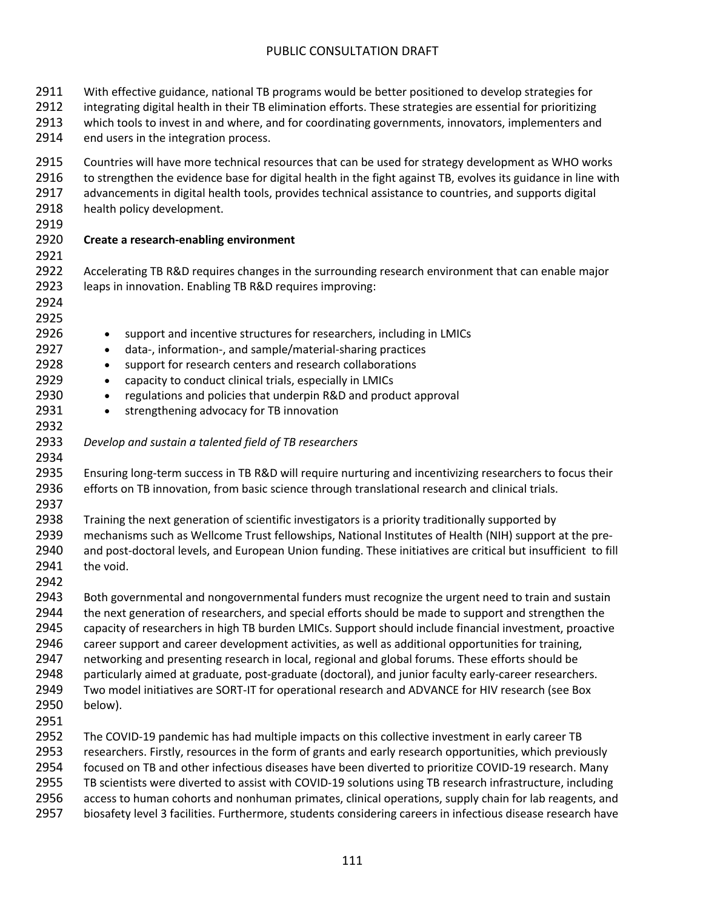With effective guidance, national TB programs would be better positioned to develop strategies for 2912 integrating digital health in their TB elimination efforts. These strategies are essential for prioritizing which tools to invest in and where, and for coordinating governments, innovators, implementers and 2914 end users in the integration process. Countries will have more technical resources that can be used for strategy development as WHO works 2916 to strengthen the evidence base for digital health in the fight against TB, evolves its guidance in line with 2917 advancements in digital health tools, provides technical assistance to countries, and supports digital 2918 health policy development. **Create a research-enabling environment** Accelerating TB R&D requires changes in the surrounding research environment that can enable major leaps in innovation. Enabling TB R&D requires improving: 2926 • support and incentive structures for researchers, including in LMICs • data-, information-, and sample/material-sharing practices 2928 • support for research centers and research collaborations 2929 • capacity to conduct clinical trials, especially in LMICs • regulations and policies that underpin R&D and product approval 2931 • strengthening advocacy for TB innovation *Develop and sustain a talented field of TB researchers* Ensuring long-term success in TB R&D will require nurturing and incentivizing researchers to focus their efforts on TB innovation, from basic science through translational research and clinical trials. Training the next generation of scientific investigators is a priority traditionally supported by mechanisms such as Wellcome Trust fellowships, National Institutes of Health (NIH) support at the pre- and post-doctoral levels, and European Union funding. These initiatives are critical but insufficient to fill the void. Both governmental and nongovernmental funders must recognize the urgent need to train and sustain 2944 the next generation of researchers, and special efforts should be made to support and strengthen the capacity of researchers in high TB burden LMICs. Support should include financial investment, proactive 2946 career support and career development activities, as well as additional opportunities for training, networking and presenting research in local, regional and global forums. These efforts should be 2948 particularly aimed at graduate, post-graduate (doctoral), and junior faculty early-career researchers. Two model initiatives are SORT-IT for operational research and ADVANCE for HIV research (see Box below). The COVID-19 pandemic has had multiple impacts on this collective investment in early career TB researchers. Firstly, resources in the form of grants and early research opportunities, which previously focused on TB and other infectious diseases have been diverted to prioritize COVID-19 research. Many TB scientists were diverted to assist with COVID-19 solutions using TB research infrastructure, including access to human cohorts and nonhuman primates, clinical operations, supply chain for lab reagents, and

biosafety level 3 facilities. Furthermore, students considering careers in infectious disease research have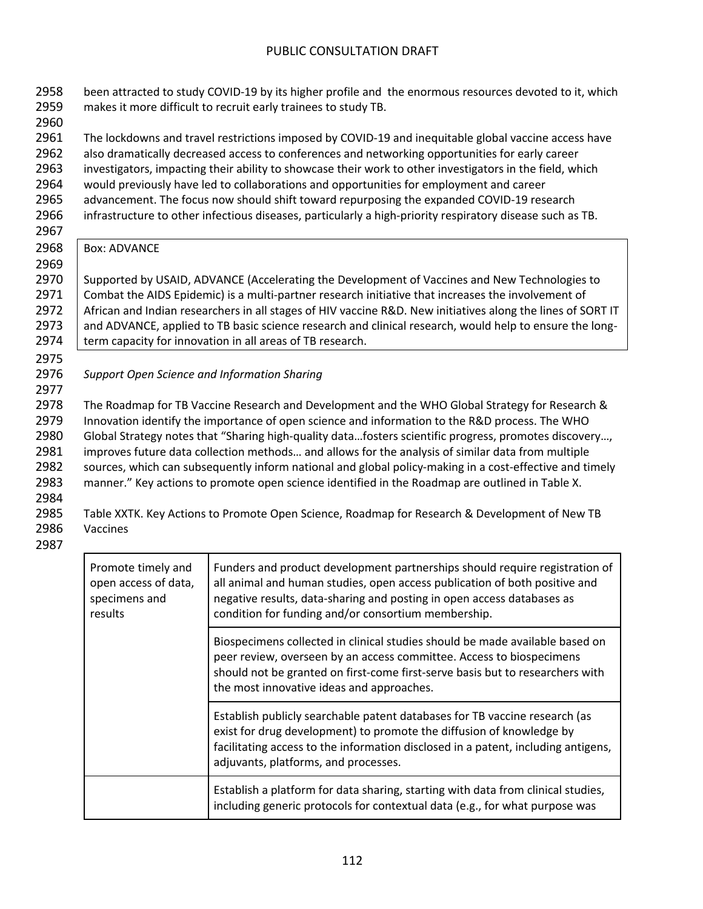2958 been attracted to study COVID-19 by its higher profile and the enormous resources devoted to it, which 2959 makes it more difficult to recruit early trainees to study TB. 2960 2961 The lockdowns and travel restrictions imposed by COVID-19 and inequitable global vaccine access have 2962 also dramatically decreased access to conferences and networking opportunities for early career 2963 investigators, impacting their ability to showcase their work to other investigators in the field, which 2964 would previously have led to collaborations and opportunities for employment and career 2965 advancement. The focus now should shift toward repurposing the expanded COVID-19 research 2966 infrastructure to other infectious diseases, particularly a high-priority respiratory disease such as TB. 2967 2968 | Box: ADVANCE 2969 2970 Supported by USAID, ADVANCE (Accelerating the Development of Vaccines and New Technologies to 2971 | Combat the AIDS Epidemic) is a multi-partner research initiative that increases the involvement of 2972 African and Indian researchers in all stages of HIV vaccine R&D. New initiatives along the lines of SORT IT 2973 | and ADVANCE, applied to TB basic science research and clinical research, would help to ensure the long-2974 term capacity for innovation in all areas of TB research. 2975 2976 *Support Open Science and Information Sharing* 2977 2978 The Roadmap for TB Vaccine Research and Development and the WHO Global Strategy for Research & 2979 Innovation identify the importance of open science and information to the R&D process. The WHO 2980 Global Strategy notes that "Sharing high-quality data…fosters scientific progress, promotes discovery…, 2981 improves future data collection methods… and allows for the analysis of similar data from multiple 2982 sources, which can subsequently inform national and global policy-making in a cost-effective and timely 2983 manner." Key actions to promote open science identified in the Roadmap are outlined in Table X. 2984 2985 Table XXTK. Key Actions to Promote Open Science, Roadmap for Research & Development of New TB 2986 Vaccines 2987 Promote timely and open access of data, Funders and product development partnerships should require registration of all animal and human studies, open access publication of both positive and

| open access of data,<br>specimens and<br>results | all animal and human studies, open access publication of both positive and<br>negative results, data-sharing and posting in open access databases as<br>condition for funding and/or consortium membership.                                                                        |
|--------------------------------------------------|------------------------------------------------------------------------------------------------------------------------------------------------------------------------------------------------------------------------------------------------------------------------------------|
|                                                  | Biospecimens collected in clinical studies should be made available based on<br>peer review, overseen by an access committee. Access to biospecimens<br>should not be granted on first-come first-serve basis but to researchers with<br>the most innovative ideas and approaches. |
|                                                  | Establish publicly searchable patent databases for TB vaccine research (as<br>exist for drug development) to promote the diffusion of knowledge by<br>facilitating access to the information disclosed in a patent, including antigens,<br>adjuvants, platforms, and processes.    |
|                                                  | Establish a platform for data sharing, starting with data from clinical studies,<br>including generic protocols for contextual data (e.g., for what purpose was                                                                                                                    |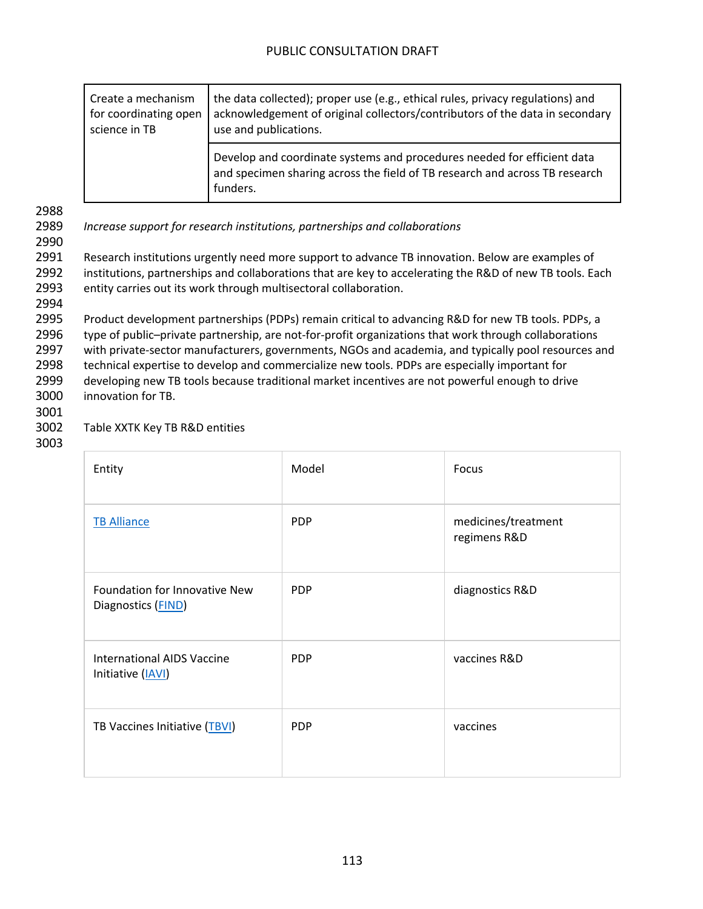| Create a mechanism<br>for coordinating open<br>science in TB | the data collected); proper use (e.g., ethical rules, privacy regulations) and<br>acknowledgement of original collectors/contributors of the data in secondary<br>use and publications. |
|--------------------------------------------------------------|-----------------------------------------------------------------------------------------------------------------------------------------------------------------------------------------|
|                                                              | Develop and coordinate systems and procedures needed for efficient data<br>and specimen sharing across the field of TB research and across TB research<br>funders.                      |

2990

2994

2989 *Increase support for research institutions, partnerships and collaborations*

2991 Research institutions urgently need more support to advance TB innovation. Below are examples of 2992 institutions, partnerships and collaborations that are key to accelerating the R&D of new TB tools. Each 2993 entity carries out its work through multisectoral collaboration.

 Product development partnerships (PDPs) remain critical to advancing R&D for new TB tools. PDPs, a type of public–private partnership, are not-for-profit organizations that work through collaborations with private-sector manufacturers, governments, NGOs and academia, and typically pool resources and technical expertise to develop and commercialize new tools. PDPs are especially important for developing new TB tools because traditional market incentives are not powerful enough to drive innovation for TB.

3001

### 3002 Table XXTK Key TB R&D entities

| Entity                                                 | Model      | Focus                               |
|--------------------------------------------------------|------------|-------------------------------------|
| <b>TB Alliance</b>                                     | <b>PDP</b> | medicines/treatment<br>regimens R&D |
| Foundation for Innovative New<br>Diagnostics (FIND)    | <b>PDP</b> | diagnostics R&D                     |
| <b>International AIDS Vaccine</b><br>Initiative (IAVI) | <b>PDP</b> | vaccines R&D                        |
| TB Vaccines Initiative (TBVI)                          | <b>PDP</b> | vaccines                            |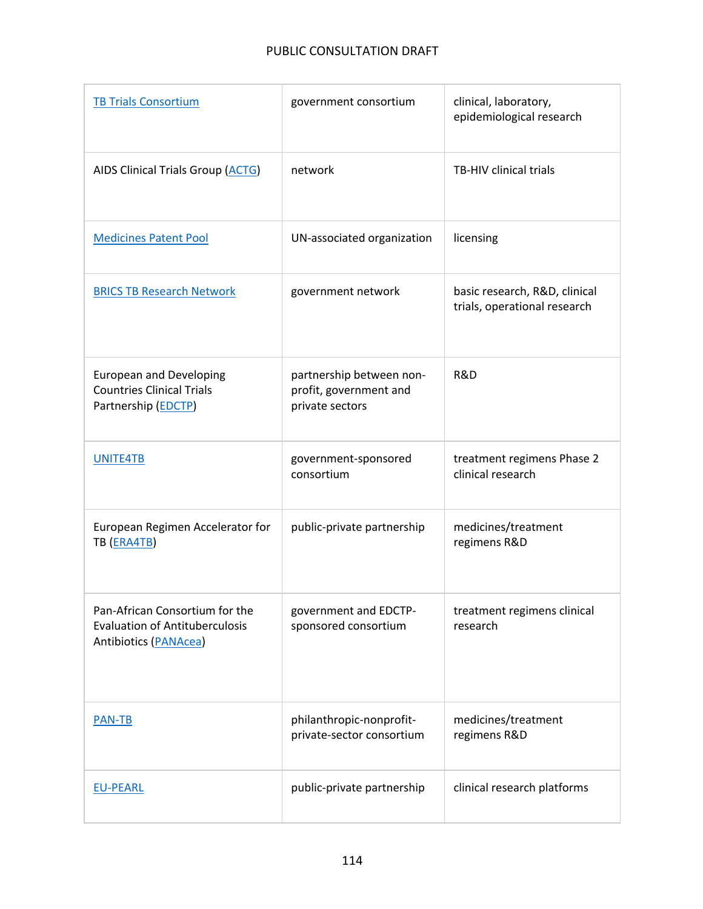| <b>TB Trials Consortium</b>                                                                      | government consortium                                                 | clinical, laboratory,<br>epidemiological research             |
|--------------------------------------------------------------------------------------------------|-----------------------------------------------------------------------|---------------------------------------------------------------|
| <b>AIDS Clinical Trials Group (ACTG)</b>                                                         | network                                                               | TB-HIV clinical trials                                        |
| <b>Medicines Patent Pool</b>                                                                     | UN-associated organization                                            | licensing                                                     |
| <b>BRICS TB Research Network</b>                                                                 | government network                                                    | basic research, R&D, clinical<br>trials, operational research |
| <b>European and Developing</b><br><b>Countries Clinical Trials</b><br>Partnership (EDCTP)        | partnership between non-<br>profit, government and<br>private sectors | R&D                                                           |
| UNITE4TB                                                                                         | government-sponsored<br>consortium                                    | treatment regimens Phase 2<br>clinical research               |
| European Regimen Accelerator for<br>TB (ERA4TB)                                                  | public-private partnership                                            | medicines/treatment<br>regimens R&D                           |
| Pan-African Consortium for the<br><b>Evaluation of Antituberculosis</b><br>Antibiotics (PANAcea) | government and EDCTP-<br>sponsored consortium                         | treatment regimens clinical<br>research                       |
| <b>PAN-TB</b>                                                                                    | philanthropic-nonprofit-<br>private-sector consortium                 | medicines/treatment<br>regimens R&D                           |
| <b>EU-PEARL</b>                                                                                  | public-private partnership                                            | clinical research platforms                                   |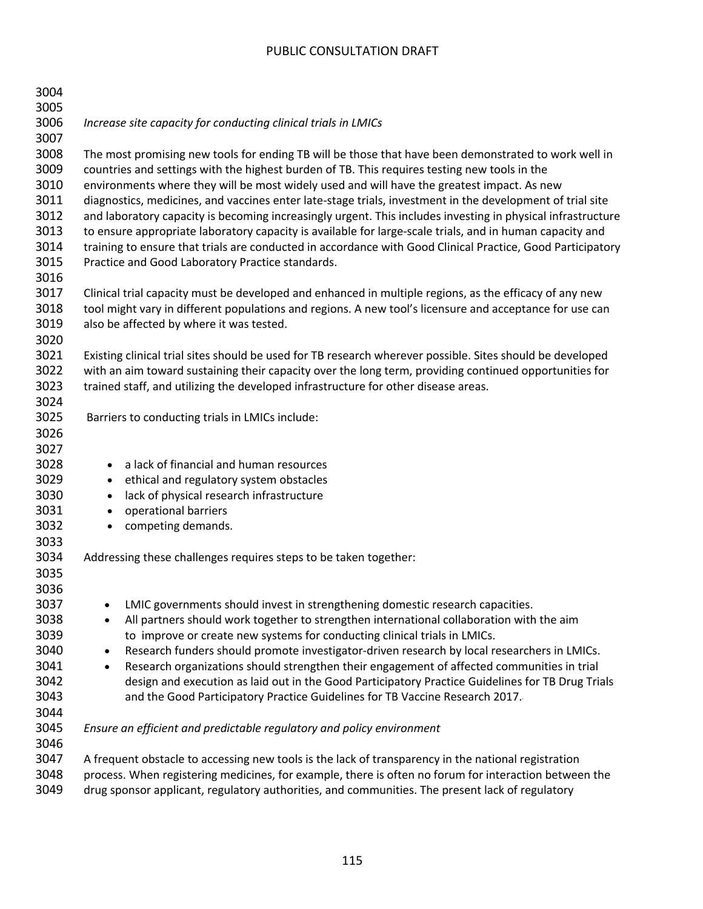| 3004<br>3005 |                                                                                                             |
|--------------|-------------------------------------------------------------------------------------------------------------|
| 3006<br>3007 | Increase site capacity for conducting clinical trials in LMICs                                              |
| 3008         | The most promising new tools for ending TB will be those that have been demonstrated to work well in        |
| 3009         | countries and settings with the highest burden of TB. This requires testing new tools in the                |
| 3010         | environments where they will be most widely used and will have the greatest impact. As new                  |
| 3011         | diagnostics, medicines, and vaccines enter late-stage trials, investment in the development of trial site   |
| 3012         | and laboratory capacity is becoming increasingly urgent. This includes investing in physical infrastructure |
| 3013         | to ensure appropriate laboratory capacity is available for large-scale trials, and in human capacity and    |
| 3014         | training to ensure that trials are conducted in accordance with Good Clinical Practice, Good Participatory  |
| 3015         | Practice and Good Laboratory Practice standards.                                                            |
| 3016         |                                                                                                             |
| 3017         | Clinical trial capacity must be developed and enhanced in multiple regions, as the efficacy of any new      |
| 3018         | tool might vary in different populations and regions. A new tool's licensure and acceptance for use can     |
| 3019         | also be affected by where it was tested.                                                                    |
| 3020         |                                                                                                             |
| 3021         | Existing clinical trial sites should be used for TB research wherever possible. Sites should be developed   |
| 3022         | with an aim toward sustaining their capacity over the long term, providing continued opportunities for      |
| 3023         | trained staff, and utilizing the developed infrastructure for other disease areas.                          |
| 3024         |                                                                                                             |
| 3025         | Barriers to conducting trials in LMICs include:                                                             |
| 3026         |                                                                                                             |
| 3027         |                                                                                                             |
| 3028         | a lack of financial and human resources<br>$\bullet$                                                        |
| 3029         | ethical and regulatory system obstacles<br>$\bullet$                                                        |
| 3030         | lack of physical research infrastructure<br>$\bullet$                                                       |
| 3031         | operational barriers<br>$\bullet$                                                                           |
| 3032         | competing demands.<br>$\bullet$                                                                             |
| 3033<br>3034 | Addressing these challenges requires steps to be taken together:                                            |
| 3035         |                                                                                                             |
| 3036         |                                                                                                             |
| 3037         | LMIC governments should invest in strengthening domestic research capacities.                               |
| 3038         | All partners should work together to strengthen international collaboration with the aim<br>$\bullet$       |
| 3039         | to improve or create new systems for conducting clinical trials in LMICs.                                   |
| 3040         | Research funders should promote investigator-driven research by local researchers in LMICs.<br>$\bullet$    |
| 3041         | Research organizations should strengthen their engagement of affected communities in trial<br>$\bullet$     |
| 3042         | design and execution as laid out in the Good Participatory Practice Guidelines for TB Drug Trials           |
| 3043         | and the Good Participatory Practice Guidelines for TB Vaccine Research 2017.                                |
| 3044         |                                                                                                             |
| 3045         | Ensure an efficient and predictable regulatory and policy environment                                       |
| 3046         |                                                                                                             |
| 3047         | A frequent obstacle to accessing new tools is the lack of transparency in the national registration         |
| 3048         | process. When registering medicines, for example, there is often no forum for interaction between the       |
| 3049         | drug sponsor applicant, regulatory authorities, and communities. The present lack of regulatory             |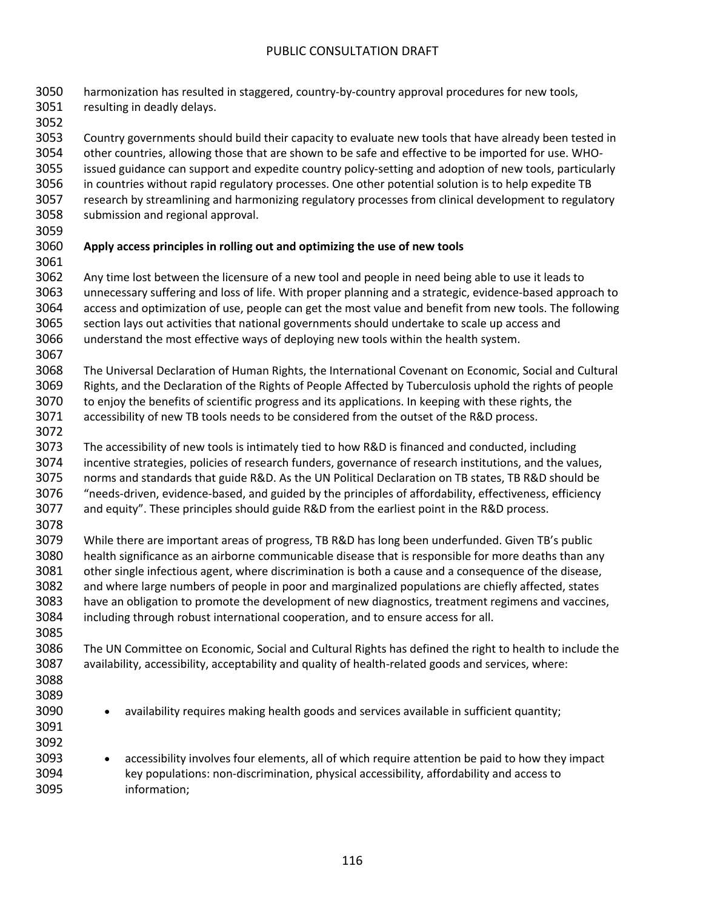harmonization has resulted in staggered, country-by-country approval procedures for new tools, resulting in deadly delays.

 Country governments should build their capacity to evaluate new tools that have already been tested in other countries, allowing those that are shown to be safe and effective to be imported for use. WHO- issued guidance can support and expedite country policy-setting and adoption of new tools, particularly in countries without rapid regulatory processes. One other potential solution is to help expedite TB research by streamlining and harmonizing regulatory processes from clinical development to regulatory submission and regional approval.

## **Apply access principles in rolling out and optimizing the use of new tools**

 Any time lost between the licensure of a new tool and people in need being able to use it leads to unnecessary suffering and loss of life. With proper planning and a strategic, evidence-based approach to access and optimization of use, people can get the most value and benefit from new tools. The following section lays out activities that national governments should undertake to scale up access and understand the most effective ways of deploying new tools within the health system. 

 The Universal Declaration of Human Rights, the International Covenant on Economic, Social and Cultural Rights, and the Declaration of the Rights of People Affected by Tuberculosis uphold the rights of people to enjoy the benefits of scientific progress and its applications. In keeping with these rights, the accessibility of new TB tools needs to be considered from the outset of the R&D process.

 The accessibility of new tools is intimately tied to how R&D is financed and conducted, including incentive strategies, policies of research funders, governance of research institutions, and the values, norms and standards that guide R&D. As the UN Political Declaration on TB states, TB R&D should be "needs-driven, evidence-based, and guided by the principles of affordability, effectiveness, efficiency and equity". These principles should guide R&D from the earliest point in the R&D process. 

 While there are important areas of progress, TB R&D has long been underfunded. Given TB's public health significance as an airborne communicable disease that is responsible for more deaths than any other single infectious agent, where discrimination is both a cause and a consequence of the disease, and where large numbers of people in poor and marginalized populations are chiefly affected, states have an obligation to promote the development of new diagnostics, treatment regimens and vaccines, including through robust international cooperation, and to ensure access for all. 

 The UN Committee on Economic, Social and Cultural Rights has defined the right to health to include the availability, accessibility, acceptability and quality of health-related goods and services, where:

- 
- 
- 
- 

3090 • availability requires making health goods and services available in sufficient quantity;

 • accessibility involves four elements, all of which require attention be paid to how they impact key populations: non-discrimination, physical accessibility, affordability and access to information;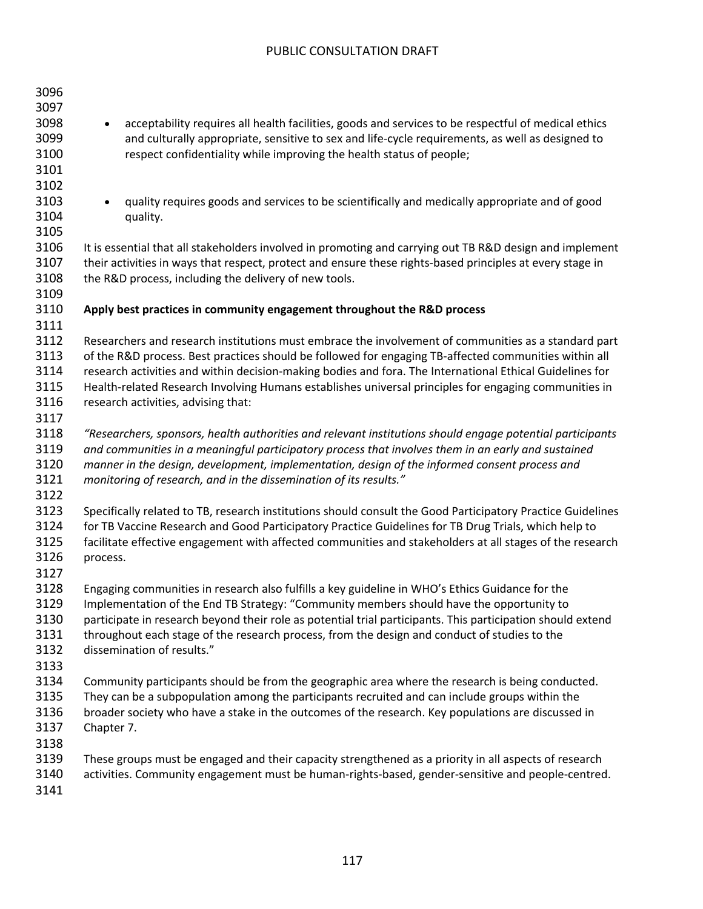| 3096<br>3097<br>3098<br>3099<br>3100<br>3101 | acceptability requires all health facilities, goods and services to be respectful of medical ethics<br>$\bullet$<br>and culturally appropriate, sensitive to sex and life-cycle requirements, as well as designed to<br>respect confidentiality while improving the health status of people;                                                                                                                                                                              |
|----------------------------------------------|---------------------------------------------------------------------------------------------------------------------------------------------------------------------------------------------------------------------------------------------------------------------------------------------------------------------------------------------------------------------------------------------------------------------------------------------------------------------------|
| 3102<br>3103<br>3104<br>3105                 | quality requires goods and services to be scientifically and medically appropriate and of good<br>$\bullet$<br>quality.                                                                                                                                                                                                                                                                                                                                                   |
| 3106<br>3107<br>3108<br>3109                 | It is essential that all stakeholders involved in promoting and carrying out TB R&D design and implement<br>their activities in ways that respect, protect and ensure these rights-based principles at every stage in<br>the R&D process, including the delivery of new tools.                                                                                                                                                                                            |
| 3110<br>3111                                 | Apply best practices in community engagement throughout the R&D process                                                                                                                                                                                                                                                                                                                                                                                                   |
| 3112<br>3113<br>3114<br>3115<br>3116<br>3117 | Researchers and research institutions must embrace the involvement of communities as a standard part<br>of the R&D process. Best practices should be followed for engaging TB-affected communities within all<br>research activities and within decision-making bodies and fora. The International Ethical Guidelines for<br>Health-related Research Involving Humans establishes universal principles for engaging communities in<br>research activities, advising that: |
| 3118<br>3119<br>3120<br>3121<br>3122         | "Researchers, sponsors, health authorities and relevant institutions should engage potential participants<br>and communities in a meaningful participatory process that involves them in an early and sustained<br>manner in the design, development, implementation, design of the informed consent process and<br>monitoring of research, and in the dissemination of its results."                                                                                     |
| 3123<br>3124<br>3125<br>3126<br>3127         | Specifically related to TB, research institutions should consult the Good Participatory Practice Guidelines<br>for TB Vaccine Research and Good Participatory Practice Guidelines for TB Drug Trials, which help to<br>facilitate effective engagement with affected communities and stakeholders at all stages of the research<br>process.                                                                                                                               |
| 3128<br>3129<br>3130<br>3131<br>3132<br>3133 | Engaging communities in research also fulfills a key guideline in WHO's Ethics Guidance for the<br>Implementation of the End TB Strategy: "Community members should have the opportunity to<br>participate in research beyond their role as potential trial participants. This participation should extend<br>throughout each stage of the research process, from the design and conduct of studies to the<br>dissemination of results."                                  |
| 3134<br>3135<br>3136<br>3137<br>3138         | Community participants should be from the geographic area where the research is being conducted.<br>They can be a subpopulation among the participants recruited and can include groups within the<br>broader society who have a stake in the outcomes of the research. Key populations are discussed in<br>Chapter 7.                                                                                                                                                    |
| 3139<br>3140<br>3141                         | These groups must be engaged and their capacity strengthened as a priority in all aspects of research<br>activities. Community engagement must be human-rights-based, gender-sensitive and people-centred.                                                                                                                                                                                                                                                                |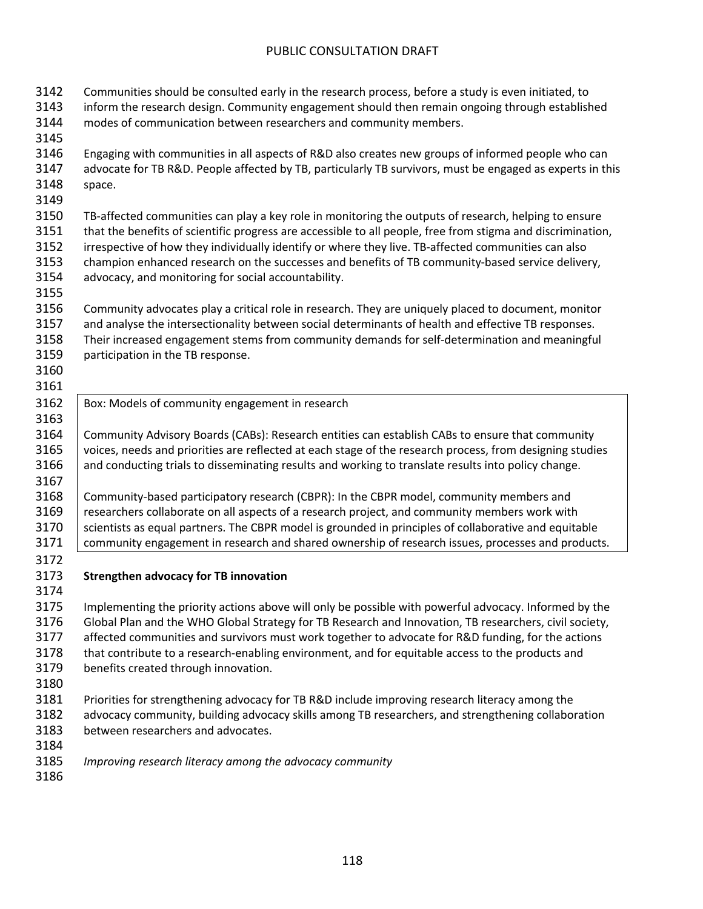| 3142 | Communities should be consulted early in the research process, before a study is even initiated, to         |
|------|-------------------------------------------------------------------------------------------------------------|
| 3143 | inform the research design. Community engagement should then remain ongoing through established             |
| 3144 | modes of communication between researchers and community members.                                           |
| 3145 |                                                                                                             |
| 3146 | Engaging with communities in all aspects of R&D also creates new groups of informed people who can          |
| 3147 | advocate for TB R&D. People affected by TB, particularly TB survivors, must be engaged as experts in this   |
| 3148 | space.                                                                                                      |
| 3149 |                                                                                                             |
| 3150 | TB-affected communities can play a key role in monitoring the outputs of research, helping to ensure        |
| 3151 | that the benefits of scientific progress are accessible to all people, free from stigma and discrimination, |
| 3152 | irrespective of how they individually identify or where they live. TB-affected communities can also         |
| 3153 | champion enhanced research on the successes and benefits of TB community-based service delivery,            |
| 3154 | advocacy, and monitoring for social accountability.                                                         |
| 3155 |                                                                                                             |
| 3156 | Community advocates play a critical role in research. They are uniquely placed to document, monitor         |
| 3157 | and analyse the intersectionality between social determinants of health and effective TB responses.         |
| 3158 | Their increased engagement stems from community demands for self-determination and meaningful               |
| 3159 | participation in the TB response.                                                                           |
| 3160 |                                                                                                             |
| 3161 |                                                                                                             |
| 3162 | Box: Models of community engagement in research                                                             |
| 3163 |                                                                                                             |
| 3164 | Community Advisory Boards (CABs): Research entities can establish CABs to ensure that community             |
| 3165 | voices, needs and priorities are reflected at each stage of the research process, from designing studies    |
| 3166 | and conducting trials to disseminating results and working to translate results into policy change.         |
| 3167 |                                                                                                             |
| 3168 | Community-based participatory research (CBPR): In the CBPR model, community members and                     |
| 3169 | researchers collaborate on all aspects of a research project, and community members work with               |
| 3170 | scientists as equal partners. The CBPR model is grounded in principles of collaborative and equitable       |
| 3171 | community engagement in research and shared ownership of research issues, processes and products.           |
| 3172 |                                                                                                             |
| 3173 | <b>Strengthen advocacy for TB innovation</b>                                                                |
| 3174 |                                                                                                             |
| 3175 | Implementing the priority actions above will only be possible with powerful advocacy. Informed by the       |
| 3176 | Global Plan and the WHO Global Strategy for TB Research and Innovation, TB researchers, civil society,      |
| 3177 | affected communities and survivors must work together to advocate for R&D funding, for the actions          |
| 3178 | that contribute to a research-enabling environment, and for equitable access to the products and            |
| 3179 | benefits created through innovation.                                                                        |
| 3180 |                                                                                                             |
| 3181 | Priorities for strengthening advocacy for TB R&D include improving research literacy among the              |
| 3182 | advocacy community, building advocacy skills among TB researchers, and strengthening collaboration          |
| 3183 | between researchers and advocates.                                                                          |
| 3184 |                                                                                                             |
| 3185 | Improving research literacy among the advocacy community                                                    |
| 3186 |                                                                                                             |